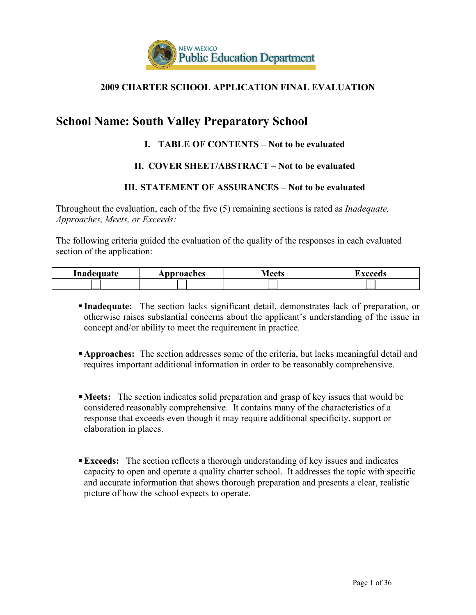

### **2009 CHARTER SCHOOL APPLICATION FINAL EVALUATION**

# **School Name: South Valley Preparatory School**

### **I. TABLE OF CONTENTS – Not to be evaluated**

### **II. COVER SHEET/ABSTRACT – Not to be evaluated**

### **III. STATEMENT OF ASSURANCES – Not to be evaluated**

Throughout the evaluation, each of the five (5) remaining sections is rated as *Inadequate, Approaches, Meets, or Exceeds:*

The following criteria guided the evaluation of the quality of the responses in each evaluated section of the application:

| Inadequate | pproaches | ∖∥∩∩ta | `VAAAN6 |
|------------|-----------|--------|---------|
|            |           |        |         |

- **Inadequate:** The section lacks significant detail, demonstrates lack of preparation, or otherwise raises substantial concerns about the applicant's understanding of the issue in concept and/or ability to meet the requirement in practice.
- **Approaches:** The section addresses some of the criteria, but lacks meaningful detail and requires important additional information in order to be reasonably comprehensive.
- **Meets:** The section indicates solid preparation and grasp of key issues that would be considered reasonably comprehensive. It contains many of the characteristics of a response that exceeds even though it may require additional specificity, support or elaboration in places.
- **Exceeds:** The section reflects a thorough understanding of key issues and indicates capacity to open and operate a quality charter school. It addresses the topic with specific and accurate information that shows thorough preparation and presents a clear, realistic picture of how the school expects to operate.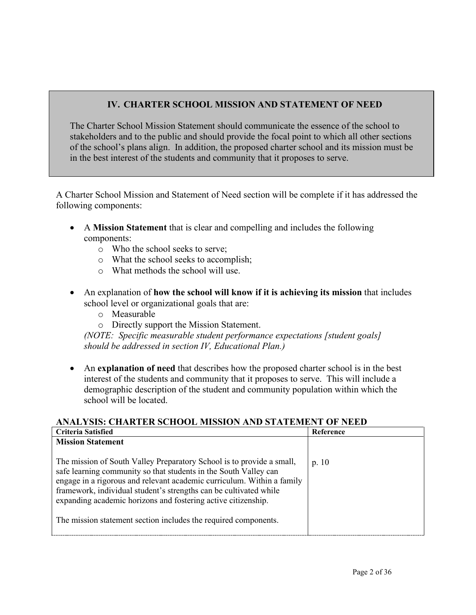# **IV. CHARTER SCHOOL MISSION AND STATEMENT OF NEED**

The Charter School Mission Statement should communicate the essence of the school to stakeholders and to the public and should provide the focal point to which all other sections of the school's plans align. In addition, the proposed charter school and its mission must be in the best interest of the students and community that it proposes to serve.

A Charter School Mission and Statement of Need section will be complete if it has addressed the following components:

- A **Mission Statement** that is clear and compelling and includes the following components:
	- o Who the school seeks to serve;
	- o What the school seeks to accomplish;
	- o What methods the school will use.
- An explanation of **how the school will know if it is achieving its mission** that includes school level or organizational goals that are:
	- o Measurable
	- o Directly support the Mission Statement.

*(NOTE: Specific measurable student performance expectations [student goals] should be addressed in section IV, Educational Plan.)*

• An **explanation of need** that describes how the proposed charter school is in the best interest of the students and community that it proposes to serve. This will include a demographic description of the student and community population within which the school will be located.

### **ANALYSIS: CHARTER SCHOOL MISSION AND STATEMENT OF NEED**

| Criteria Satisfied                                                                                                                                                                                                                                                                                                                                        | Reference |
|-----------------------------------------------------------------------------------------------------------------------------------------------------------------------------------------------------------------------------------------------------------------------------------------------------------------------------------------------------------|-----------|
| <b>Mission Statement</b>                                                                                                                                                                                                                                                                                                                                  |           |
| The mission of South Valley Preparatory School is to provide a small,<br>safe learning community so that students in the South Valley can<br>engage in a rigorous and relevant academic curriculum. Within a family<br>framework, individual student's strengths can be cultivated while<br>expanding academic horizons and fostering active citizenship. | p. $10$   |
| The mission statement section includes the required components.                                                                                                                                                                                                                                                                                           |           |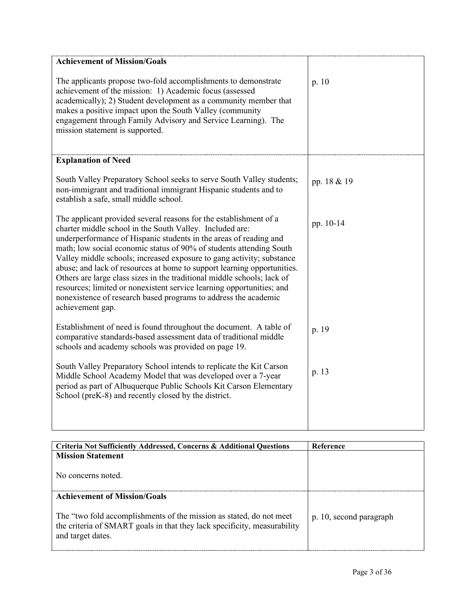| <b>Achievement of Mission/Goals</b>                                                                                                                                                                                                                                                                                                                                                                                                                                                                                                                                                                                                                                      |             |
|--------------------------------------------------------------------------------------------------------------------------------------------------------------------------------------------------------------------------------------------------------------------------------------------------------------------------------------------------------------------------------------------------------------------------------------------------------------------------------------------------------------------------------------------------------------------------------------------------------------------------------------------------------------------------|-------------|
| The applicants propose two-fold accomplishments to demonstrate<br>achievement of the mission: 1) Academic focus (assessed<br>academically); 2) Student development as a community member that<br>makes a positive impact upon the South Valley (community<br>engagement through Family Advisory and Service Learning). The<br>mission statement is supported.                                                                                                                                                                                                                                                                                                            | p.10        |
| <b>Explanation of Need</b>                                                                                                                                                                                                                                                                                                                                                                                                                                                                                                                                                                                                                                               |             |
| South Valley Preparatory School seeks to serve South Valley students;<br>non-immigrant and traditional immigrant Hispanic students and to<br>establish a safe, small middle school.                                                                                                                                                                                                                                                                                                                                                                                                                                                                                      | pp. 18 & 19 |
| The applicant provided several reasons for the establishment of a<br>charter middle school in the South Valley. Included are:<br>underperformance of Hispanic students in the areas of reading and<br>math; low social economic status of 90% of students attending South<br>Valley middle schools; increased exposure to gang activity; substance<br>abuse; and lack of resources at home to support learning opportunities.<br>Others are large class sizes in the traditional middle schools; lack of<br>resources; limited or nonexistent service learning opportunities; and<br>nonexistence of research based programs to address the academic<br>achievement gap. | pp. 10-14   |
| Establishment of need is found throughout the document. A table of<br>comparative standards-based assessment data of traditional middle<br>schools and academy schools was provided on page 19.                                                                                                                                                                                                                                                                                                                                                                                                                                                                          | p. 19       |
| South Valley Preparatory School intends to replicate the Kit Carson<br>Middle School Academy Model that was developed over a 7-year<br>period as part of Albuquerque Public Schools Kit Carson Elementary<br>School (preK-8) and recently closed by the district.                                                                                                                                                                                                                                                                                                                                                                                                        | p. 13       |

| Criteria Not Sufficiently Addressed, Concerns & Additional Questions                                                                                                 | Reference               |
|----------------------------------------------------------------------------------------------------------------------------------------------------------------------|-------------------------|
| <b>Mission Statement</b>                                                                                                                                             |                         |
| No concerns noted.                                                                                                                                                   |                         |
| <b>Achievement of Mission/Goals</b>                                                                                                                                  |                         |
| The "two fold accomplishments of the mission as stated, do not meet<br>the criteria of SMART goals in that they lack specificity, measurability<br>and target dates. | p. 10, second paragraph |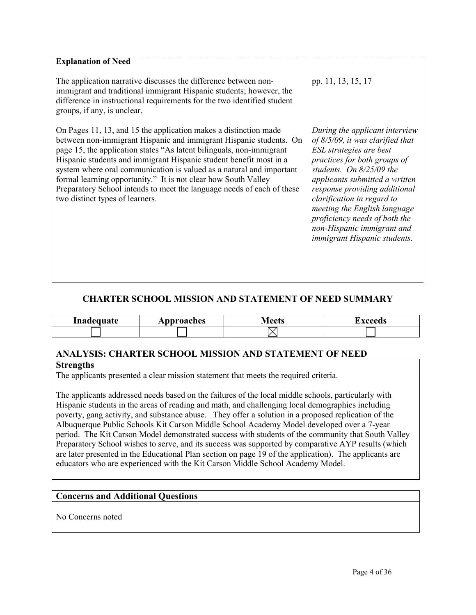| <b>Explanation of Need</b>                                                                                                                                                                                                                                                                                                                                                                                                                                                                                                                  |                                                                                                                                                                                                                                                                                                                                                                                              |
|---------------------------------------------------------------------------------------------------------------------------------------------------------------------------------------------------------------------------------------------------------------------------------------------------------------------------------------------------------------------------------------------------------------------------------------------------------------------------------------------------------------------------------------------|----------------------------------------------------------------------------------------------------------------------------------------------------------------------------------------------------------------------------------------------------------------------------------------------------------------------------------------------------------------------------------------------|
| The application narrative discusses the difference between non-<br>immigrant and traditional immigrant Hispanic students; however, the<br>difference in instructional requirements for the two identified student<br>groups, if any, is unclear.                                                                                                                                                                                                                                                                                            | pp. 11, 13, 15, 17                                                                                                                                                                                                                                                                                                                                                                           |
| On Pages 11, 13, and 15 the application makes a distinction made<br>between non-immigrant Hispanic and immigrant Hispanic students. On<br>page 15, the application states "As latent bilinguals, non-immigrant<br>Hispanic students and immigrant Hispanic student benefit most in a<br>system where oral communication is valued as a natural and important<br>formal learning opportunity." It is not clear how South Valley<br>Preparatory School intends to meet the language needs of each of these<br>two distinct types of learners. | During the applicant interview<br>of $8/5/09$ , it was clarified that<br>ESL strategies are best<br>practices for both groups of<br>students. On 8/25/09 the<br>applicants submitted a written<br>response providing additional<br>clarification in regard to<br>meeting the English language<br>proficiency needs of both the<br>non-Hispanic immigrant and<br>immigrant Hispanic students. |

### **CHARTER SCHOOL MISSION AND STATEMENT OF NEED SUMMARY**

| Inadequate | Approaches | $A$ $\alpha$<br><u>TIULIS</u> | $\mathbf{v}$ and |
|------------|------------|-------------------------------|------------------|
|            |            |                               |                  |

# **ANALYSIS: CHARTER SCHOOL MISSION AND STATEMENT OF NEED**

#### **Strengths**

The applicants presented a clear mission statement that meets the required criteria.

The applicants addressed needs based on the failures of the local middle schools, particularly with Hispanic students in the areas of reading and math, and challenging local demographics including poverty, gang activity, and substance abuse. They offer a solution in a proposed replication of the Albuquerque Public Schools Kit Carson Middle School Academy Model developed over a 7-year period. The Kit Carson Model demonstrated success with students of the community that South Valley Preparatory School wishes to serve, and its success was supported by comparative AYP results (which are later presented in the Educational Plan section on page 19 of the application). The applicants are educators who are experienced with the Kit Carson Middle School Academy Model.

### **Concerns and Additional Questions**

No Concerns noted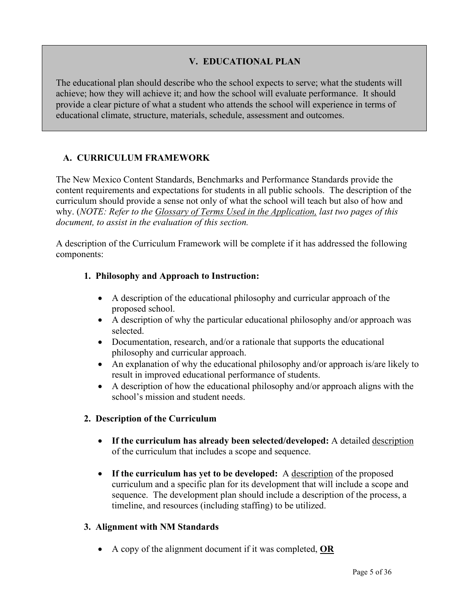### **V. EDUCATIONAL PLAN**

The educational plan should describe who the school expects to serve; what the students will achieve; how they will achieve it; and how the school will evaluate performance. It should provide a clear picture of what a student who attends the school will experience in terms of educational climate, structure, materials, schedule, assessment and outcomes.

## **A. CURRICULUM FRAMEWORK**

The New Mexico Content Standards, Benchmarks and Performance Standards provide the content requirements and expectations for students in all public schools. The description of the curriculum should provide a sense not only of what the school will teach but also of how and why. (*NOTE: Refer to the Glossary of Terms Used in the Application, last two pages of this document, to assist in the evaluation of this section.*

A description of the Curriculum Framework will be complete if it has addressed the following components:

#### **1. Philosophy and Approach to Instruction:**

- A description of the educational philosophy and curricular approach of the proposed school.
- A description of why the particular educational philosophy and/or approach was selected.
- Documentation, research, and/or a rationale that supports the educational philosophy and curricular approach.
- An explanation of why the educational philosophy and/or approach is/are likely to result in improved educational performance of students.
- A description of how the educational philosophy and/or approach aligns with the school's mission and student needs.

### **2. Description of the Curriculum**

- **If the curriculum has already been selected/developed:** A detailed description of the curriculum that includes a scope and sequence.
- **If the curriculum has yet to be developed:** A description of the proposed curriculum and a specific plan for its development that will include a scope and sequence. The development plan should include a description of the process, a timeline, and resources (including staffing) to be utilized.

#### **3. Alignment with NM Standards**

• A copy of the alignment document if it was completed, **OR**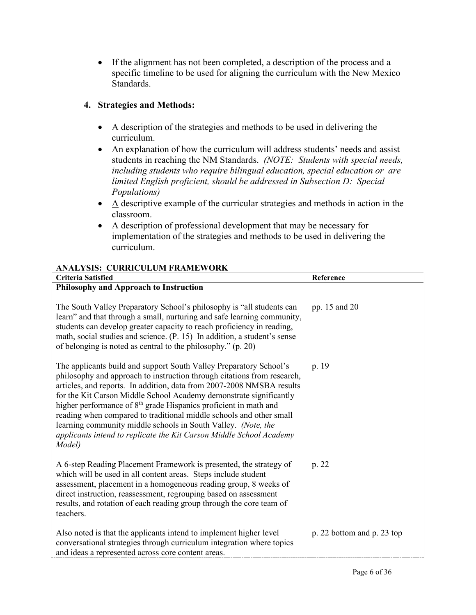• If the alignment has not been completed, a description of the process and a specific timeline to be used for aligning the curriculum with the New Mexico Standards.

## **4. Strategies and Methods:**

- A description of the strategies and methods to be used in delivering the curriculum.
- An explanation of how the curriculum will address students' needs and assist students in reaching the NM Standards. *(NOTE: Students with special needs, including students who require bilingual education, special education or are limited English proficient, should be addressed in Subsection D: Special Populations)*
- $\bullet$  A descriptive example of the curricular strategies and methods in action in the classroom.
- A description of professional development that may be necessary for implementation of the strategies and methods to be used in delivering the curriculum.

| ARALISIS. CONNICOLUM FRAMEWONN<br><b>Criteria Satisfied</b>                                                                                                                                                                                                                                                                                                                                                                                                                                                                                                                                           | Reference                  |
|-------------------------------------------------------------------------------------------------------------------------------------------------------------------------------------------------------------------------------------------------------------------------------------------------------------------------------------------------------------------------------------------------------------------------------------------------------------------------------------------------------------------------------------------------------------------------------------------------------|----------------------------|
| Philosophy and Approach to Instruction                                                                                                                                                                                                                                                                                                                                                                                                                                                                                                                                                                |                            |
| The South Valley Preparatory School's philosophy is "all students can<br>learn" and that through a small, nurturing and safe learning community,<br>students can develop greater capacity to reach proficiency in reading,<br>math, social studies and science. (P. 15) In addition, a student's sense<br>of belonging is noted as central to the philosophy." (p. 20)                                                                                                                                                                                                                                | pp. 15 and 20              |
| The applicants build and support South Valley Preparatory School's<br>philosophy and approach to instruction through citations from research,<br>articles, and reports. In addition, data from 2007-2008 NMSBA results<br>for the Kit Carson Middle School Academy demonstrate significantly<br>higher performance of 8 <sup>th</sup> grade Hispanics proficient in math and<br>reading when compared to traditional middle schools and other small<br>learning community middle schools in South Valley. (Note, the<br>applicants intend to replicate the Kit Carson Middle School Academy<br>Model) | p. 19                      |
| A 6-step Reading Placement Framework is presented, the strategy of<br>which will be used in all content areas. Steps include student<br>assessment, placement in a homogeneous reading group, 8 weeks of<br>direct instruction, reassessment, regrouping based on assessment<br>results, and rotation of each reading group through the core team of<br>teachers.                                                                                                                                                                                                                                     | p. 22                      |
| Also noted is that the applicants intend to implement higher level<br>conversational strategies through curriculum integration where topics<br>and ideas a represented across core content areas.                                                                                                                                                                                                                                                                                                                                                                                                     | p. 22 bottom and p. 23 top |

#### **ANALYSIS: CURRICULUM FRAMEWORK**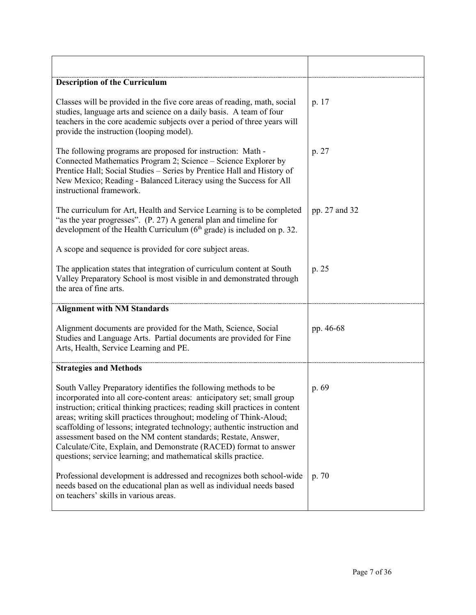| <b>Description of the Curriculum</b>                                                                                                                                                                                                                                                                                                                                                                                                                                                                                                                                                   |               |
|----------------------------------------------------------------------------------------------------------------------------------------------------------------------------------------------------------------------------------------------------------------------------------------------------------------------------------------------------------------------------------------------------------------------------------------------------------------------------------------------------------------------------------------------------------------------------------------|---------------|
| Classes will be provided in the five core areas of reading, math, social<br>studies, language arts and science on a daily basis. A team of four<br>teachers in the core academic subjects over a period of three years will<br>provide the instruction (looping model).                                                                                                                                                                                                                                                                                                                | p. 17         |
| The following programs are proposed for instruction: Math -<br>Connected Mathematics Program 2; Science - Science Explorer by<br>Prentice Hall; Social Studies - Series by Prentice Hall and History of<br>New Mexico; Reading - Balanced Literacy using the Success for All<br>instructional framework.                                                                                                                                                                                                                                                                               | p. 27         |
| The curriculum for Art, Health and Service Learning is to be completed<br>"as the year progresses". (P. 27) A general plan and timeline for<br>development of the Health Curriculum ( $6th$ grade) is included on p. 32.                                                                                                                                                                                                                                                                                                                                                               | pp. 27 and 32 |
| A scope and sequence is provided for core subject areas.                                                                                                                                                                                                                                                                                                                                                                                                                                                                                                                               |               |
| The application states that integration of curriculum content at South<br>Valley Preparatory School is most visible in and demonstrated through<br>the area of fine arts.                                                                                                                                                                                                                                                                                                                                                                                                              | p. 25         |
| <b>Alignment with NM Standards</b>                                                                                                                                                                                                                                                                                                                                                                                                                                                                                                                                                     |               |
| Alignment documents are provided for the Math, Science, Social<br>Studies and Language Arts. Partial documents are provided for Fine<br>Arts, Health, Service Learning and PE.                                                                                                                                                                                                                                                                                                                                                                                                         | pp. 46-68     |
| <b>Strategies and Methods</b>                                                                                                                                                                                                                                                                                                                                                                                                                                                                                                                                                          |               |
| South Valley Preparatory identifies the following methods to be<br>incorporated into all core-content areas: anticipatory set; small group<br>instruction; critical thinking practices; reading skill practices in content<br>areas; writing skill practices throughout; modeling of Think-Aloud;<br>scaffolding of lessons; integrated technology; authentic instruction and<br>assessment based on the NM content standards; Restate, Answer,<br>Calculate/Cite, Explain, and Demonstrate (RACED) format to answer<br>questions; service learning; and mathematical skills practice. | p. 69         |
| Professional development is addressed and recognizes both school-wide<br>needs based on the educational plan as well as individual needs based<br>on teachers' skills in various areas.                                                                                                                                                                                                                                                                                                                                                                                                | p. 70         |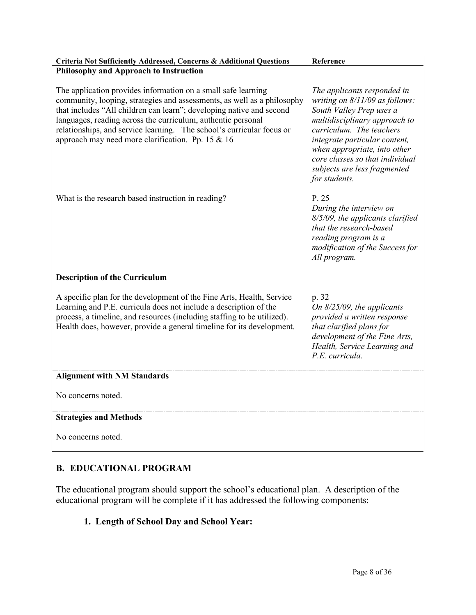| Criteria Not Sufficiently Addressed, Concerns & Additional Questions                                                                                                                                                                                                                                                                                                                                           | Reference                                                                                                                                                                                                                                                                                                   |
|----------------------------------------------------------------------------------------------------------------------------------------------------------------------------------------------------------------------------------------------------------------------------------------------------------------------------------------------------------------------------------------------------------------|-------------------------------------------------------------------------------------------------------------------------------------------------------------------------------------------------------------------------------------------------------------------------------------------------------------|
| <b>Philosophy and Approach to Instruction</b>                                                                                                                                                                                                                                                                                                                                                                  |                                                                                                                                                                                                                                                                                                             |
| The application provides information on a small safe learning<br>community, looping, strategies and assessments, as well as a philosophy<br>that includes "All children can learn"; developing native and second<br>languages, reading across the curriculum, authentic personal<br>relationships, and service learning. The school's curricular focus or<br>approach may need more clarification. Pp. 15 & 16 | The applicants responded in<br>writing on 8/11/09 as follows:<br>South Valley Prep uses a<br>multidisciplinary approach to<br>curriculum. The teachers<br>integrate particular content,<br>when appropriate, into other<br>core classes so that individual<br>subjects are less fragmented<br>for students. |
| What is the research based instruction in reading?                                                                                                                                                                                                                                                                                                                                                             | P. 25<br>During the interview on<br>8/5/09, the applicants clarified<br>that the research-based<br>reading program is a<br>modification of the Success for<br>All program.                                                                                                                                  |
| <b>Description of the Curriculum</b>                                                                                                                                                                                                                                                                                                                                                                           |                                                                                                                                                                                                                                                                                                             |
| A specific plan for the development of the Fine Arts, Health, Service<br>Learning and P.E. curricula does not include a description of the<br>process, a timeline, and resources (including staffing to be utilized).<br>Health does, however, provide a general timeline for its development.                                                                                                                 | p. 32<br>On $8/25/09$ , the applicants<br>provided a written response<br>that clarified plans for<br>development of the Fine Arts,<br>Health, Service Learning and<br>P.E. curricula.                                                                                                                       |
| <b>Alignment with NM Standards</b>                                                                                                                                                                                                                                                                                                                                                                             |                                                                                                                                                                                                                                                                                                             |
| No concerns noted.                                                                                                                                                                                                                                                                                                                                                                                             |                                                                                                                                                                                                                                                                                                             |
| <b>Strategies and Methods</b>                                                                                                                                                                                                                                                                                                                                                                                  |                                                                                                                                                                                                                                                                                                             |
| No concerns noted.                                                                                                                                                                                                                                                                                                                                                                                             |                                                                                                                                                                                                                                                                                                             |

# **B. EDUCATIONAL PROGRAM**

The educational program should support the school's educational plan. A description of the educational program will be complete if it has addressed the following components:

### **1. Length of School Day and School Year:**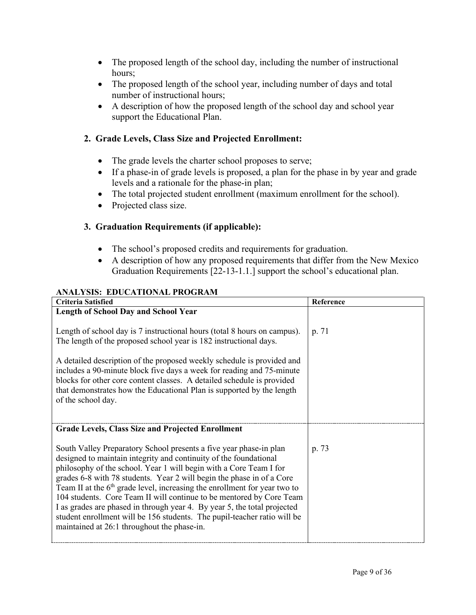- The proposed length of the school day, including the number of instructional hours;
- The proposed length of the school year, including number of days and total number of instructional hours;
- A description of how the proposed length of the school day and school year support the Educational Plan.

## **2. Grade Levels, Class Size and Projected Enrollment:**

- The grade levels the charter school proposes to serve;
- If a phase-in of grade levels is proposed, a plan for the phase in by year and grade levels and a rationale for the phase-in plan;
- The total projected student enrollment (maximum enrollment for the school).
- Projected class size.

# **3. Graduation Requirements (if applicable):**

- The school's proposed credits and requirements for graduation.
- A description of how any proposed requirements that differ from the New Mexico Graduation Requirements [22-13-1.1.] support the school's educational plan.

## **ANALYSIS: EDUCATIONAL PROGRAM**

| <b>Criteria Satisfied</b>                                                                                                                                                                                                                                                                                                                                                                                                                                                                                                                                                                                                                            | Reference |
|------------------------------------------------------------------------------------------------------------------------------------------------------------------------------------------------------------------------------------------------------------------------------------------------------------------------------------------------------------------------------------------------------------------------------------------------------------------------------------------------------------------------------------------------------------------------------------------------------------------------------------------------------|-----------|
| <b>Length of School Day and School Year</b>                                                                                                                                                                                                                                                                                                                                                                                                                                                                                                                                                                                                          |           |
| Length of school day is 7 instructional hours (total 8 hours on campus).<br>The length of the proposed school year is 182 instructional days.                                                                                                                                                                                                                                                                                                                                                                                                                                                                                                        | p. 71     |
| A detailed description of the proposed weekly schedule is provided and<br>includes a 90-minute block five days a week for reading and 75-minute<br>blocks for other core content classes. A detailed schedule is provided<br>that demonstrates how the Educational Plan is supported by the length<br>of the school day.                                                                                                                                                                                                                                                                                                                             |           |
| <b>Grade Levels, Class Size and Projected Enrollment</b>                                                                                                                                                                                                                                                                                                                                                                                                                                                                                                                                                                                             |           |
| South Valley Preparatory School presents a five year phase-in plan<br>designed to maintain integrity and continuity of the foundational<br>philosophy of the school. Year 1 will begin with a Core Team I for<br>grades 6-8 with 78 students. Year 2 will begin the phase in of a Core<br>Team II at the $6th$ grade level, increasing the enrollment for year two to<br>104 students. Core Team II will continue to be mentored by Core Team<br>I as grades are phased in through year 4. By year 5, the total projected<br>student enrollment will be 156 students. The pupil-teacher ratio will be<br>maintained at 26:1 throughout the phase-in. | p. 73     |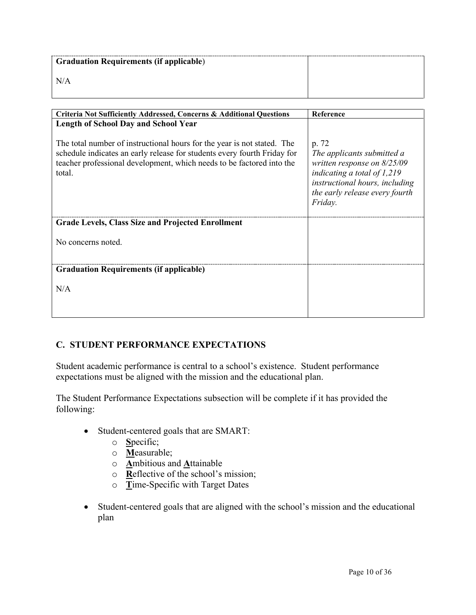| <b>Graduation Requirements (if applicable)</b> |  |
|------------------------------------------------|--|
| N/A                                            |  |

| Criteria Not Sufficiently Addressed, Concerns & Additional Questions                                                                                        | Reference                                                                                                                                                                   |
|-------------------------------------------------------------------------------------------------------------------------------------------------------------|-----------------------------------------------------------------------------------------------------------------------------------------------------------------------------|
| <b>Length of School Day and School Year</b><br>The total number of instructional hours for the year is not stated. The                                      | p. 72                                                                                                                                                                       |
| schedule indicates an early release for students every fourth Friday for<br>teacher professional development, which needs to be factored into the<br>total. | The applicants submitted a<br>written response on $8/25/09$<br>indicating a total of $1,219$<br>instructional hours, including<br>the early release every fourth<br>Friday. |
| <b>Grade Levels, Class Size and Projected Enrollment</b>                                                                                                    |                                                                                                                                                                             |
| No concerns noted.                                                                                                                                          |                                                                                                                                                                             |
| <b>Graduation Requirements (if applicable)</b>                                                                                                              |                                                                                                                                                                             |
| N/A                                                                                                                                                         |                                                                                                                                                                             |
|                                                                                                                                                             |                                                                                                                                                                             |

## **C. STUDENT PERFORMANCE EXPECTATIONS**

Student academic performance is central to a school's existence. Student performance expectations must be aligned with the mission and the educational plan.

The Student Performance Expectations subsection will be complete if it has provided the following:

- Student-centered goals that are SMART:
	- o **S**pecific;
	- o **M**easurable;
	- o **A**mbitious and **A**ttainable
	- o **R**eflective of the school's mission;
	- o **T**ime-Specific with Target Dates
- Student-centered goals that are aligned with the school's mission and the educational plan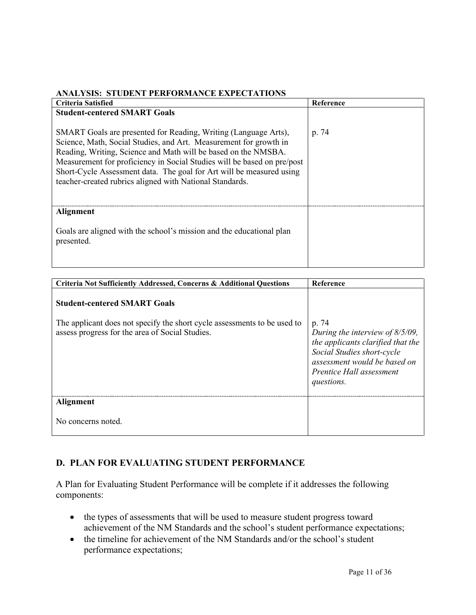#### **ANALYSIS: STUDENT PERFORMANCE EXPECTATIONS**

| <b>Criteria Satisfied</b>                                                                                                                                                                                                                                                                                                                                                                                             | Reference |
|-----------------------------------------------------------------------------------------------------------------------------------------------------------------------------------------------------------------------------------------------------------------------------------------------------------------------------------------------------------------------------------------------------------------------|-----------|
| <b>Student-centered SMART Goals</b>                                                                                                                                                                                                                                                                                                                                                                                   |           |
| SMART Goals are presented for Reading, Writing (Language Arts),<br>Science, Math, Social Studies, and Art. Measurement for growth in<br>Reading, Writing, Science and Math will be based on the NMSBA.<br>Measurement for proficiency in Social Studies will be based on pre/post<br>Short-Cycle Assessment data. The goal for Art will be measured using<br>teacher-created rubrics aligned with National Standards. | p. 74     |
| <b>Alignment</b>                                                                                                                                                                                                                                                                                                                                                                                                      |           |
| Goals are aligned with the school's mission and the educational plan<br>presented.                                                                                                                                                                                                                                                                                                                                    |           |

| <b>Criteria Not Sufficiently Addressed, Concerns &amp; Additional Questions</b>                                                                                    | Reference                                                                                                                                                                                |
|--------------------------------------------------------------------------------------------------------------------------------------------------------------------|------------------------------------------------------------------------------------------------------------------------------------------------------------------------------------------|
| <b>Student-centered SMART Goals</b><br>The applicant does not specify the short cycle assessments to be used to<br>assess progress for the area of Social Studies. | p. 74<br>During the interview of $8/5/09$ ,<br>the applicants clarified that the<br>Social Studies short-cycle<br>assessment would be based on<br>Prentice Hall assessment<br>questions. |
| Alignment                                                                                                                                                          |                                                                                                                                                                                          |
| No concerns noted.                                                                                                                                                 |                                                                                                                                                                                          |

## **D. PLAN FOR EVALUATING STUDENT PERFORMANCE**

A Plan for Evaluating Student Performance will be complete if it addresses the following components:

- the types of assessments that will be used to measure student progress toward achievement of the NM Standards and the school's student performance expectations;
- the timeline for achievement of the NM Standards and/or the school's student performance expectations;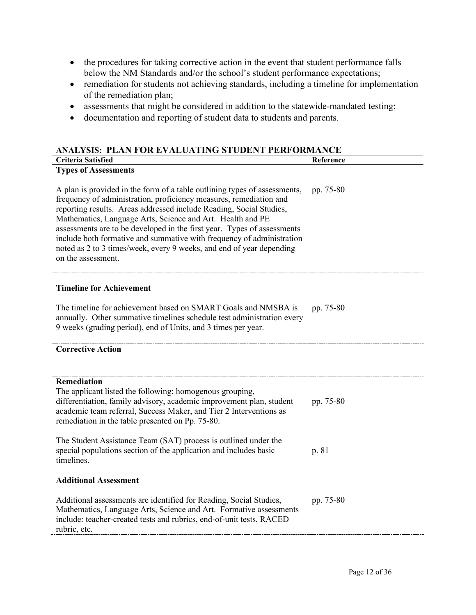- the procedures for taking corrective action in the event that student performance falls below the NM Standards and/or the school's student performance expectations;
- remediation for students not achieving standards, including a timeline for implementation of the remediation plan;
- assessments that might be considered in addition to the statewide-mandated testing;
- documentation and reporting of student data to students and parents.

# **ANALYSIS: PLAN FOR EVALUATING STUDENT PERFORMANCE**

| <b>Criteria Satisfied</b>                                                                                                                                                                                                                                                                                                                                                                                                                                                                                                              | Reference |
|----------------------------------------------------------------------------------------------------------------------------------------------------------------------------------------------------------------------------------------------------------------------------------------------------------------------------------------------------------------------------------------------------------------------------------------------------------------------------------------------------------------------------------------|-----------|
| <b>Types of Assessments</b>                                                                                                                                                                                                                                                                                                                                                                                                                                                                                                            |           |
| A plan is provided in the form of a table outlining types of assessments,<br>frequency of administration, proficiency measures, remediation and<br>reporting results. Areas addressed include Reading, Social Studies,<br>Mathematics, Language Arts, Science and Art. Health and PE<br>assessments are to be developed in the first year. Types of assessments<br>include both formative and summative with frequency of administration<br>noted as 2 to 3 times/week, every 9 weeks, and end of year depending<br>on the assessment. | pp. 75-80 |
| <b>Timeline for Achievement</b>                                                                                                                                                                                                                                                                                                                                                                                                                                                                                                        |           |
| The timeline for achievement based on SMART Goals and NMSBA is<br>annually. Other summative timelines schedule test administration every<br>9 weeks (grading period), end of Units, and 3 times per year.                                                                                                                                                                                                                                                                                                                              | pp. 75-80 |
| <b>Corrective Action</b>                                                                                                                                                                                                                                                                                                                                                                                                                                                                                                               |           |
|                                                                                                                                                                                                                                                                                                                                                                                                                                                                                                                                        |           |
| <b>Remediation</b><br>The applicant listed the following: homogenous grouping,<br>differentiation, family advisory, academic improvement plan, student<br>academic team referral, Success Maker, and Tier 2 Interventions as<br>remediation in the table presented on Pp. 75-80.                                                                                                                                                                                                                                                       | pp. 75-80 |
| The Student Assistance Team (SAT) process is outlined under the<br>special populations section of the application and includes basic<br>timelines.                                                                                                                                                                                                                                                                                                                                                                                     | p. 81     |
| <b>Additional Assessment</b>                                                                                                                                                                                                                                                                                                                                                                                                                                                                                                           |           |
| Additional assessments are identified for Reading, Social Studies,<br>Mathematics, Language Arts, Science and Art. Formative assessments<br>include: teacher-created tests and rubrics, end-of-unit tests, RACED<br>rubric, etc.                                                                                                                                                                                                                                                                                                       | pp. 75-80 |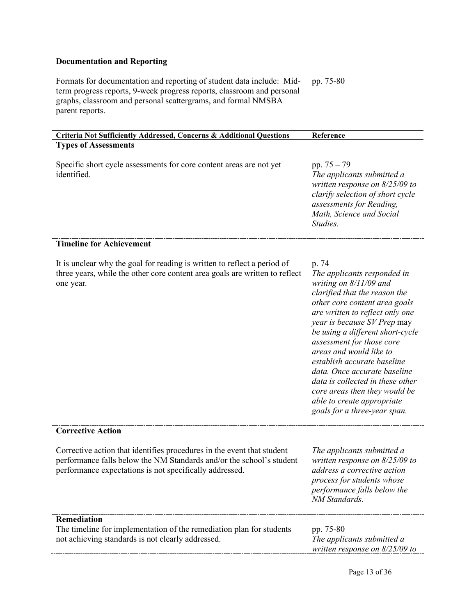| <b>Documentation and Reporting</b>                                                                                                                                                                                                  |                                                                                                                                                                                                                                                                                                                                                                                                                                                                                                    |
|-------------------------------------------------------------------------------------------------------------------------------------------------------------------------------------------------------------------------------------|----------------------------------------------------------------------------------------------------------------------------------------------------------------------------------------------------------------------------------------------------------------------------------------------------------------------------------------------------------------------------------------------------------------------------------------------------------------------------------------------------|
| Formats for documentation and reporting of student data include: Mid-<br>term progress reports, 9-week progress reports, classroom and personal<br>graphs, classroom and personal scattergrams, and formal NMSBA<br>parent reports. | pp. 75-80                                                                                                                                                                                                                                                                                                                                                                                                                                                                                          |
| Criteria Not Sufficiently Addressed, Concerns & Additional Questions                                                                                                                                                                | Reference                                                                                                                                                                                                                                                                                                                                                                                                                                                                                          |
| <b>Types of Assessments</b>                                                                                                                                                                                                         |                                                                                                                                                                                                                                                                                                                                                                                                                                                                                                    |
| Specific short cycle assessments for core content areas are not yet<br>identified.                                                                                                                                                  | pp. $75 - 79$<br>The applicants submitted a<br>written response on $8/25/09$ to<br>clarify selection of short cycle<br>assessments for Reading,<br>Math, Science and Social<br>Studies.                                                                                                                                                                                                                                                                                                            |
| <b>Timeline for Achievement</b>                                                                                                                                                                                                     |                                                                                                                                                                                                                                                                                                                                                                                                                                                                                                    |
| It is unclear why the goal for reading is written to reflect a period of<br>three years, while the other core content area goals are written to reflect<br>one year.                                                                | p. 74<br>The applicants responded in<br>writing on $8/11/09$ and<br>clarified that the reason the<br>other core content area goals<br>are written to reflect only one<br>year is because SV Prep may<br>be using a different short-cycle<br>assessment for those core<br>areas and would like to<br>establish accurate baseline<br>data. Once accurate baseline<br>data is collected in these other<br>core areas then they would be<br>able to create appropriate<br>goals for a three-year span. |
| <b>Corrective Action</b>                                                                                                                                                                                                            |                                                                                                                                                                                                                                                                                                                                                                                                                                                                                                    |
| Corrective action that identifies procedures in the event that student<br>performance falls below the NM Standards and/or the school's student<br>performance expectations is not specifically addressed.                           | The applicants submitted a<br>written response on $8/25/09$ to<br>address a corrective action<br>process for students whose<br>performance falls below the<br>NM Standards.                                                                                                                                                                                                                                                                                                                        |
| <b>Remediation</b><br>The timeline for implementation of the remediation plan for students<br>not achieving standards is not clearly addressed.                                                                                     | pp. 75-80<br>The applicants submitted a<br>written response on $8/25/09$ to                                                                                                                                                                                                                                                                                                                                                                                                                        |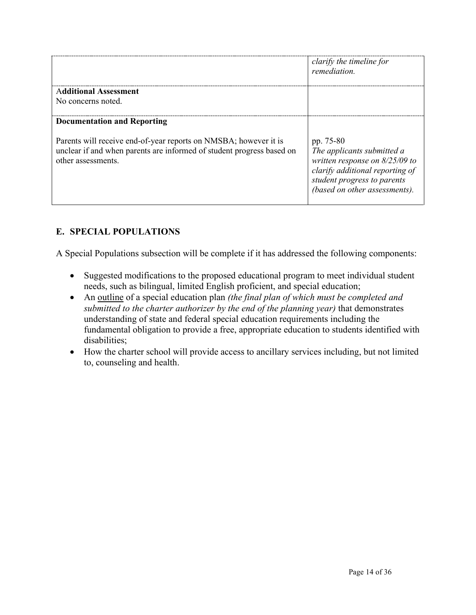|                                                                                                                                                                 | clarify the timeline for<br><i>remediation</i>                                                                                                                                 |
|-----------------------------------------------------------------------------------------------------------------------------------------------------------------|--------------------------------------------------------------------------------------------------------------------------------------------------------------------------------|
| <b>Additional Assessment</b>                                                                                                                                    |                                                                                                                                                                                |
| No concerns noted.                                                                                                                                              |                                                                                                                                                                                |
| <b>Documentation and Reporting</b>                                                                                                                              |                                                                                                                                                                                |
| Parents will receive end-of-year reports on NMSBA; however it is<br>unclear if and when parents are informed of student progress based on<br>other assessments. | pp. 75-80<br>The applicants submitted a<br>written response on $8/25/09$ to<br>clarify additional reporting of<br>student progress to parents<br>(based on other assessments). |

## **E. SPECIAL POPULATIONS**

A Special Populations subsection will be complete if it has addressed the following components:

- Suggested modifications to the proposed educational program to meet individual student needs, such as bilingual, limited English proficient, and special education;
- An outline of a special education plan *(the final plan of which must be completed and submitted to the charter authorizer by the end of the planning year)* that demonstrates understanding of state and federal special education requirements including the fundamental obligation to provide a free, appropriate education to students identified with disabilities;
- How the charter school will provide access to ancillary services including, but not limited to, counseling and health.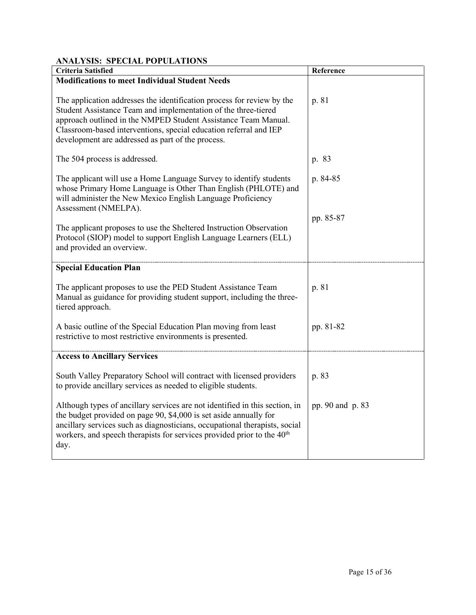### **ANALYSIS: SPECIAL POPULATIONS**

| <b>Criteria Satisfied</b>                                                                                                                                                                                                                                                                                                            | Reference        |
|--------------------------------------------------------------------------------------------------------------------------------------------------------------------------------------------------------------------------------------------------------------------------------------------------------------------------------------|------------------|
| <b>Modifications to meet Individual Student Needs</b>                                                                                                                                                                                                                                                                                |                  |
| The application addresses the identification process for review by the<br>Student Assistance Team and implementation of the three-tiered<br>approach outlined in the NMPED Student Assistance Team Manual.<br>Classroom-based interventions, special education referral and IEP<br>development are addressed as part of the process. | p. 81            |
| The 504 process is addressed.                                                                                                                                                                                                                                                                                                        | p. 83            |
| The applicant will use a Home Language Survey to identify students<br>whose Primary Home Language is Other Than English (PHLOTE) and<br>will administer the New Mexico English Language Proficiency<br>Assessment (NMELPA).                                                                                                          | p. 84-85         |
| The applicant proposes to use the Sheltered Instruction Observation<br>Protocol (SIOP) model to support English Language Learners (ELL)<br>and provided an overview.                                                                                                                                                                 | pp. 85-87        |
| <b>Special Education Plan</b>                                                                                                                                                                                                                                                                                                        |                  |
| The applicant proposes to use the PED Student Assistance Team<br>Manual as guidance for providing student support, including the three-<br>tiered approach.                                                                                                                                                                          | p. 81            |
| A basic outline of the Special Education Plan moving from least<br>restrictive to most restrictive environments is presented.                                                                                                                                                                                                        | pp. 81-82        |
| <b>Access to Ancillary Services</b>                                                                                                                                                                                                                                                                                                  |                  |
| South Valley Preparatory School will contract with licensed providers<br>to provide ancillary services as needed to eligible students.                                                                                                                                                                                               | p. 83            |
| Although types of ancillary services are not identified in this section, in<br>the budget provided on page 90, \$4,000 is set aside annually for<br>ancillary services such as diagnosticians, occupational therapists, social<br>workers, and speech therapists for services provided prior to the 40 <sup>th</sup><br>day.         | pp. 90 and p. 83 |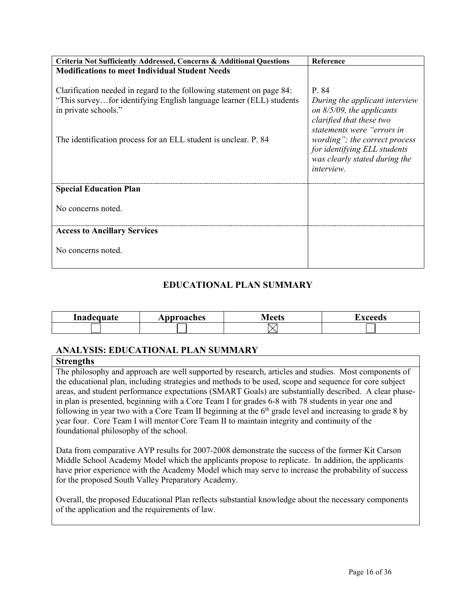| Criteria Not Sufficiently Addressed, Concerns & Additional Questions                                                                                                 | Reference                                                                                                                         |
|----------------------------------------------------------------------------------------------------------------------------------------------------------------------|-----------------------------------------------------------------------------------------------------------------------------------|
| <b>Modifications to meet Individual Student Needs</b>                                                                                                                |                                                                                                                                   |
| Clarification needed in regard to the following statement on page 84:<br>"This surveyfor identifying English language learner (ELL) students<br>in private schools." | P. 84<br>During the applicant interview<br>on $8/5/09$ , the applicants<br>clarified that these two<br>statements were "errors in |
| The identification process for an ELL student is unclear. P. 84                                                                                                      | wording"; the correct process<br>for identifying ELL students<br>was clearly stated during the<br><i>interview.</i>               |
| <b>Special Education Plan</b>                                                                                                                                        |                                                                                                                                   |
| No concerns noted.                                                                                                                                                   |                                                                                                                                   |
| <b>Access to Ancillary Services</b>                                                                                                                                  |                                                                                                                                   |
| No concerns noted.                                                                                                                                                   |                                                                                                                                   |

### **EDUCATIONAL PLAN SUMMARY**

| <b>The contract</b><br>$\sim$ - - $\sim$ + $\sim$ | pproaches<br>лμ | . |  |
|---------------------------------------------------|-----------------|---|--|
|                                                   |                 |   |  |

#### **ANALYSIS: EDUCATIONAL PLAN SUMMARY**

#### **Strengths**

The philosophy and approach are well supported by research, articles and studies. Most components of the educational plan, including strategies and methods to be used, scope and sequence for core subject areas, and student performance expectations (SMART Goals) are substantially described. A clear phasein plan is presented, beginning with a Core Team I for grades 6-8 with 78 students in year one and following in year two with a Core Team II beginning at the  $6<sup>th</sup>$  grade level and increasing to grade 8 by year four. Core Team I will mentor Core Team II to maintain integrity and continuity of the foundational philosophy of the school.

Data from comparative AYP results for 2007-2008 demonstrate the success of the former Kit Carson Middle School Academy Model which the applicants propose to replicate. In addition, the applicants have prior experience with the Academy Model which may serve to increase the probability of success for the proposed South Valley Preparatory Academy.

Overall, the proposed Educational Plan reflects substantial knowledge about the necessary components of the application and the requirements of law.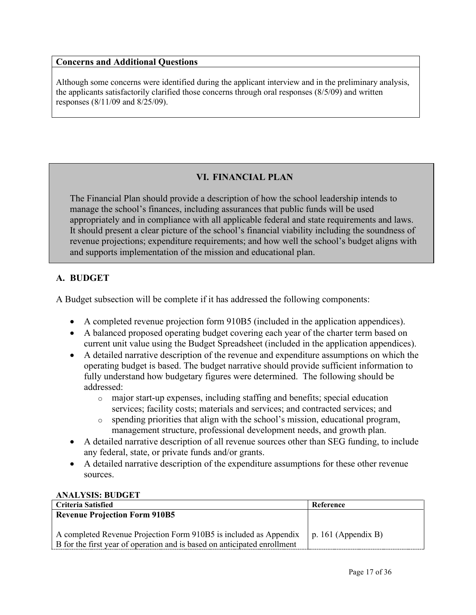#### **Concerns and Additional Questions**

Although some concerns were identified during the applicant interview and in the preliminary analysis, the applicants satisfactorily clarified those concerns through oral responses (8/5/09) and written responses (8/11/09 and 8/25/09).

# **VI. FINANCIAL PLAN**

The Financial Plan should provide a description of how the school leadership intends to manage the school's finances, including assurances that public funds will be used appropriately and in compliance with all applicable federal and state requirements and laws. It should present a clear picture of the school's financial viability including the soundness of revenue projections; expenditure requirements; and how well the school's budget aligns with and supports implementation of the mission and educational plan.

## **A. BUDGET**

A Budget subsection will be complete if it has addressed the following components:

- A completed revenue projection form 910B5 (included in the application appendices).
- A balanced proposed operating budget covering each year of the charter term based on current unit value using the Budget Spreadsheet (included in the application appendices).
- A detailed narrative description of the revenue and expenditure assumptions on which the operating budget is based. The budget narrative should provide sufficient information to fully understand how budgetary figures were determined. The following should be addressed:
	- o major start-up expenses, including staffing and benefits; special education services; facility costs; materials and services; and contracted services; and
	- $\circ$  spending priorities that align with the school's mission, educational program, management structure, professional development needs, and growth plan.
- A detailed narrative description of all revenue sources other than SEG funding, to include any federal, state, or private funds and/or grants.
- A detailed narrative description of the expenditure assumptions for these other revenue sources.

#### **ANALYSIS: BUDGET**

| <b>Criteria Satisfied</b>                                                                   | Reference |
|---------------------------------------------------------------------------------------------|-----------|
| <b>Revenue Projection Form 910B5</b>                                                        |           |
|                                                                                             |           |
| A completed Revenue Projection Form 910B5 is included as Appendix $\mid p.161$ (Appendix B) |           |
| B for the first year of operation and is based on anticipated enrollment                    |           |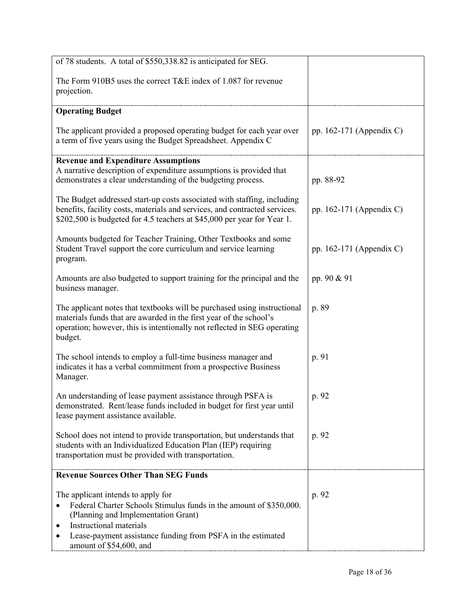| of 78 students. A total of \$550,338.82 is anticipated for SEG.                                                                                                                                                                       |                            |
|---------------------------------------------------------------------------------------------------------------------------------------------------------------------------------------------------------------------------------------|----------------------------|
| The Form 910B5 uses the correct T&E index of 1.087 for revenue<br>projection.                                                                                                                                                         |                            |
| <b>Operating Budget</b>                                                                                                                                                                                                               |                            |
| The applicant provided a proposed operating budget for each year over<br>a term of five years using the Budget Spreadsheet. Appendix C                                                                                                | pp. 162-171 (Appendix C)   |
| <b>Revenue and Expenditure Assumptions</b><br>A narrative description of expenditure assumptions is provided that<br>demonstrates a clear understanding of the budgeting process.                                                     | pp. 88-92                  |
| The Budget addressed start-up costs associated with staffing, including<br>benefits, facility costs, materials and services, and contracted services.<br>\$202,500 is budgeted for 4.5 teachers at \$45,000 per year for Year 1.      | pp. $162-171$ (Appendix C) |
| Amounts budgeted for Teacher Training, Other Textbooks and some<br>Student Travel support the core curriculum and service learning<br>program.                                                                                        | pp. 162-171 (Appendix C)   |
| Amounts are also budgeted to support training for the principal and the<br>business manager.                                                                                                                                          | pp. 90 & 91                |
| The applicant notes that textbooks will be purchased using instructional<br>materials funds that are awarded in the first year of the school's<br>operation; however, this is intentionally not reflected in SEG operating<br>budget. | p. 89                      |
| The school intends to employ a full-time business manager and<br>indicates it has a verbal commitment from a prospective Business<br>Manager.                                                                                         | p. 91                      |
| An understanding of lease payment assistance through PSFA is<br>demonstrated. Rent/lease funds included in budget for first year until<br>lease payment assistance available.                                                         | p. 92                      |
| School does not intend to provide transportation, but understands that<br>students with an Individualized Education Plan (IEP) requiring<br>transportation must be provided with transportation.                                      | p. 92                      |
| <b>Revenue Sources Other Than SEG Funds</b>                                                                                                                                                                                           |                            |
| The applicant intends to apply for<br>Federal Charter Schools Stimulus funds in the amount of \$350,000.<br>٠<br>(Planning and Implementation Grant)<br>Instructional materials                                                       | p. 92                      |
| Lease-payment assistance funding from PSFA in the estimated<br>amount of \$54,600, and                                                                                                                                                |                            |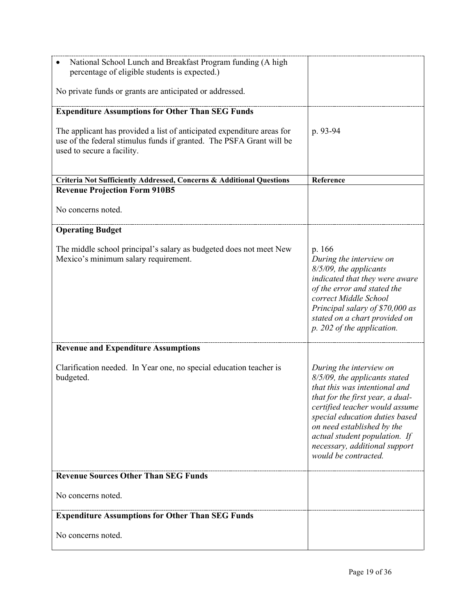| National School Lunch and Breakfast Program funding (A high<br>percentage of eligible students is expected.)                                                                 |                                                                                                                                                                                                                                                                                                                           |
|------------------------------------------------------------------------------------------------------------------------------------------------------------------------------|---------------------------------------------------------------------------------------------------------------------------------------------------------------------------------------------------------------------------------------------------------------------------------------------------------------------------|
| No private funds or grants are anticipated or addressed.                                                                                                                     |                                                                                                                                                                                                                                                                                                                           |
| <b>Expenditure Assumptions for Other Than SEG Funds</b>                                                                                                                      |                                                                                                                                                                                                                                                                                                                           |
| The applicant has provided a list of anticipated expenditure areas for<br>use of the federal stimulus funds if granted. The PSFA Grant will be<br>used to secure a facility. | p. 93-94                                                                                                                                                                                                                                                                                                                  |
| Criteria Not Sufficiently Addressed, Concerns & Additional Questions                                                                                                         | Reference                                                                                                                                                                                                                                                                                                                 |
| <b>Revenue Projection Form 910B5</b>                                                                                                                                         |                                                                                                                                                                                                                                                                                                                           |
| No concerns noted.                                                                                                                                                           |                                                                                                                                                                                                                                                                                                                           |
| <b>Operating Budget</b>                                                                                                                                                      |                                                                                                                                                                                                                                                                                                                           |
| The middle school principal's salary as budgeted does not meet New<br>Mexico's minimum salary requirement.                                                                   | p. 166<br>During the interview on<br>8/5/09, the applicants<br>indicated that they were aware<br>of the error and stated the<br>correct Middle School<br>Principal salary of \$70,000 as<br>stated on a chart provided on<br>p. 202 of the application.                                                                   |
| <b>Revenue and Expenditure Assumptions</b>                                                                                                                                   |                                                                                                                                                                                                                                                                                                                           |
| Clarification needed. In Year one, no special education teacher is<br>budgeted.                                                                                              | During the interview on<br>8/5/09, the applicants stated<br>that this was intentional and<br>that for the first year, a dual-<br>certified teacher would assume<br>special education duties based<br>on need established by the<br>actual student population. If<br>necessary, additional support<br>would be contracted. |
| <b>Revenue Sources Other Than SEG Funds</b>                                                                                                                                  |                                                                                                                                                                                                                                                                                                                           |
| No concerns noted.                                                                                                                                                           |                                                                                                                                                                                                                                                                                                                           |
| <b>Expenditure Assumptions for Other Than SEG Funds</b>                                                                                                                      |                                                                                                                                                                                                                                                                                                                           |
| No concerns noted.                                                                                                                                                           |                                                                                                                                                                                                                                                                                                                           |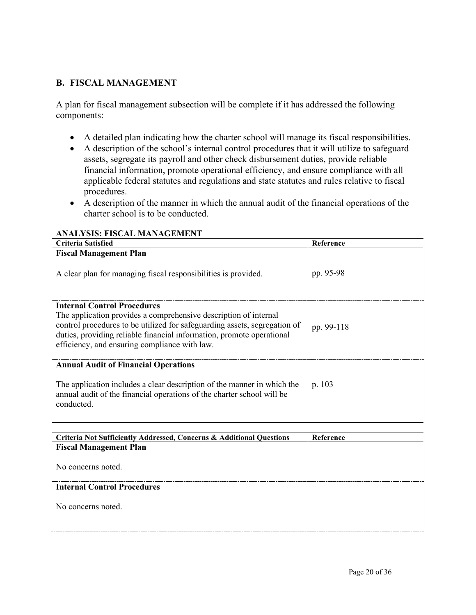### **B. FISCAL MANAGEMENT**

A plan for fiscal management subsection will be complete if it has addressed the following components:

- A detailed plan indicating how the charter school will manage its fiscal responsibilities.
- A description of the school's internal control procedures that it will utilize to safeguard assets, segregate its payroll and other check disbursement duties, provide reliable financial information, promote operational efficiency, and ensure compliance with all applicable federal statutes and regulations and state statutes and rules relative to fiscal procedures.
- A description of the manner in which the annual audit of the financial operations of the charter school is to be conducted.

| <b>Criteria Satisfied</b>                                                                                                                                                                                                                                                                                     | Reference  |
|---------------------------------------------------------------------------------------------------------------------------------------------------------------------------------------------------------------------------------------------------------------------------------------------------------------|------------|
| <b>Fiscal Management Plan</b><br>A clear plan for managing fiscal responsibilities is provided.                                                                                                                                                                                                               | pp. 95-98  |
| <b>Internal Control Procedures</b><br>The application provides a comprehensive description of internal<br>control procedures to be utilized for safeguarding assets, segregation of<br>duties, providing reliable financial information, promote operational<br>efficiency, and ensuring compliance with law. | pp. 99-118 |
| <b>Annual Audit of Financial Operations</b><br>The application includes a clear description of the manner in which the<br>annual audit of the financial operations of the charter school will be<br>conducted.                                                                                                | p. 103     |

#### **ANALYSIS: FISCAL MANAGEMENT**

| Criteria Not Sufficiently Addressed, Concerns & Additional Questions | Reference |
|----------------------------------------------------------------------|-----------|
| <b>Fiscal Management Plan</b>                                        |           |
|                                                                      |           |
| No concerns noted.                                                   |           |
|                                                                      |           |
| <b>Internal Control Procedures</b>                                   |           |
|                                                                      |           |
| No concerns noted.                                                   |           |
|                                                                      |           |
|                                                                      |           |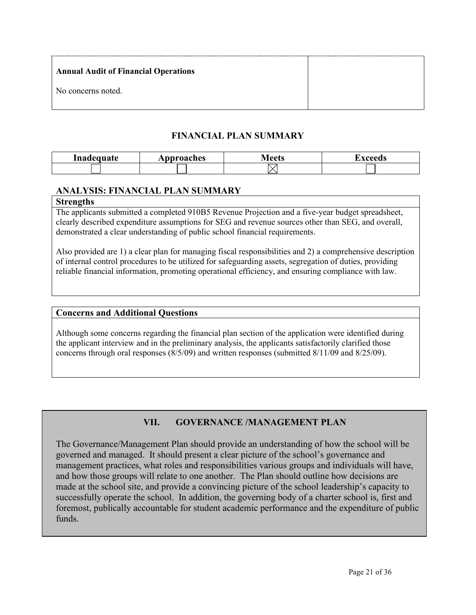| <b>Annual Audit of Financial Operations</b> |  |
|---------------------------------------------|--|
| No concerns noted.                          |  |

### **FINANCIAL PLAN SUMMARY**

| Inadequate<br>maa | pproaches<br>$\mathbf{A}$ . | /laate | ----- |
|-------------------|-----------------------------|--------|-------|
|                   |                             |        |       |

### **ANALYSIS: FINANCIAL PLAN SUMMARY**

#### **Strengths**

The applicants submitted a completed 910B5 Revenue Projection and a five-year budget spreadsheet, clearly described expenditure assumptions for SEG and revenue sources other than SEG, and overall, demonstrated a clear understanding of public school financial requirements.

Also provided are 1) a clear plan for managing fiscal responsibilities and 2) a comprehensive description of internal control procedures to be utilized for safeguarding assets, segregation of duties, providing reliable financial information, promoting operational efficiency, and ensuring compliance with law.

#### **Concerns and Additional Questions**

Although some concerns regarding the financial plan section of the application were identified during the applicant interview and in the preliminary analysis, the applicants satisfactorily clarified those concerns through oral responses (8/5/09) and written responses (submitted 8/11/09 and 8/25/09).

# **VII. GOVERNANCE /MANAGEMENT PLAN**

The Governance/Management Plan should provide an understanding of how the school will be governed and managed. It should present a clear picture of the school's governance and management practices, what roles and responsibilities various groups and individuals will have, and how those groups will relate to one another. The Plan should outline how decisions are made at the school site, and provide a convincing picture of the school leadership's capacity to successfully operate the school. In addition, the governing body of a charter school is, first and foremost, publically accountable for student academic performance and the expenditure of public funds.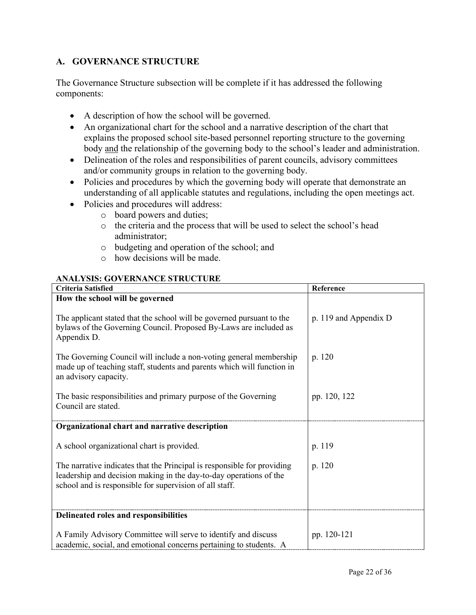### **A. GOVERNANCE STRUCTURE**

The Governance Structure subsection will be complete if it has addressed the following components:

- A description of how the school will be governed.
- An organizational chart for the school and a narrative description of the chart that explains the proposed school site-based personnel reporting structure to the governing body and the relationship of the governing body to the school's leader and administration.
- Delineation of the roles and responsibilities of parent councils, advisory committees and/or community groups in relation to the governing body.
- Policies and procedures by which the governing body will operate that demonstrate an understanding of all applicable statutes and regulations, including the open meetings act.
- Policies and procedures will address:
	- o board powers and duties;
	- o the criteria and the process that will be used to select the school's head administrator;
	- o budgeting and operation of the school; and
	- o how decisions will be made.

#### **ANALYSIS: GOVERNANCE STRUCTURE**

| <b>Criteria Satisfied</b>                                                                                                                                                                                | Reference             |
|----------------------------------------------------------------------------------------------------------------------------------------------------------------------------------------------------------|-----------------------|
| How the school will be governed                                                                                                                                                                          |                       |
| The applicant stated that the school will be governed pursuant to the<br>bylaws of the Governing Council. Proposed By-Laws are included as<br>Appendix D.                                                | p. 119 and Appendix D |
| The Governing Council will include a non-voting general membership<br>made up of teaching staff, students and parents which will function in<br>an advisory capacity.                                    | p. 120                |
| The basic responsibilities and primary purpose of the Governing<br>Council are stated.                                                                                                                   | pp. 120, 122          |
| Organizational chart and narrative description                                                                                                                                                           |                       |
| A school organizational chart is provided.                                                                                                                                                               | p. 119                |
| The narrative indicates that the Principal is responsible for providing<br>leadership and decision making in the day-to-day operations of the<br>school and is responsible for supervision of all staff. | p. 120                |
| Delineated roles and responsibilities                                                                                                                                                                    |                       |
| A Family Advisory Committee will serve to identify and discuss<br>academic, social, and emotional concerns pertaining to students. A                                                                     | pp. 120-121           |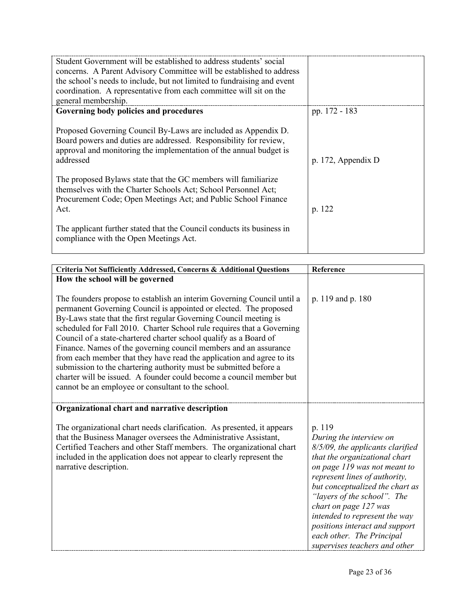| Student Government will be established to address students' social<br>concerns. A Parent Advisory Committee will be established to address<br>the school's needs to include, but not limited to fundraising and event<br>coordination. A representative from each committee will sit on the<br>general membership. |                    |
|--------------------------------------------------------------------------------------------------------------------------------------------------------------------------------------------------------------------------------------------------------------------------------------------------------------------|--------------------|
| Governing body policies and procedures                                                                                                                                                                                                                                                                             | pp. 172 - 183      |
| Proposed Governing Council By-Laws are included as Appendix D.<br>Board powers and duties are addressed. Responsibility for review,<br>approval and monitoring the implementation of the annual budget is<br>addressed                                                                                             | p. 172, Appendix D |
| The proposed Bylaws state that the GC members will familiarize<br>themselves with the Charter Schools Act; School Personnel Act;<br>Procurement Code; Open Meetings Act; and Public School Finance<br>Act.                                                                                                         | p. 122             |
| The applicant further stated that the Council conducts its business in<br>compliance with the Open Meetings Act.                                                                                                                                                                                                   |                    |

| Criteria Not Sufficiently Addressed, Concerns & Additional Questions                                                                                                                                                                                                                                                                                                                                                                                                                                                                                                                                                                                                                                           | Reference                                                                                                                                                                                                                                                                                                                                                                                           |
|----------------------------------------------------------------------------------------------------------------------------------------------------------------------------------------------------------------------------------------------------------------------------------------------------------------------------------------------------------------------------------------------------------------------------------------------------------------------------------------------------------------------------------------------------------------------------------------------------------------------------------------------------------------------------------------------------------------|-----------------------------------------------------------------------------------------------------------------------------------------------------------------------------------------------------------------------------------------------------------------------------------------------------------------------------------------------------------------------------------------------------|
| How the school will be governed                                                                                                                                                                                                                                                                                                                                                                                                                                                                                                                                                                                                                                                                                |                                                                                                                                                                                                                                                                                                                                                                                                     |
| The founders propose to establish an interim Governing Council until a<br>permanent Governing Council is appointed or elected. The proposed<br>By-Laws state that the first regular Governing Council meeting is<br>scheduled for Fall 2010. Charter School rule requires that a Governing<br>Council of a state-chartered charter school qualify as a Board of<br>Finance. Names of the governing council members and an assurance<br>from each member that they have read the application and agree to its<br>submission to the chartering authority must be submitted before a<br>charter will be issued. A founder could become a council member but<br>cannot be an employee or consultant to the school. | p. 119 and p. 180                                                                                                                                                                                                                                                                                                                                                                                   |
| Organizational chart and narrative description                                                                                                                                                                                                                                                                                                                                                                                                                                                                                                                                                                                                                                                                 |                                                                                                                                                                                                                                                                                                                                                                                                     |
| The organizational chart needs clarification. As presented, it appears<br>that the Business Manager oversees the Administrative Assistant,<br>Certified Teachers and other Staff members. The organizational chart<br>included in the application does not appear to clearly represent the<br>narrative description.                                                                                                                                                                                                                                                                                                                                                                                           | p. 119<br>During the interview on<br>8/5/09, the applicants clarified<br>that the organizational chart<br>on page 119 was not meant to<br>represent lines of authority,<br>but conceptualized the chart as<br>"layers of the school". The<br>chart on page 127 was<br>intended to represent the way<br>positions interact and support<br>each other. The Principal<br>supervises teachers and other |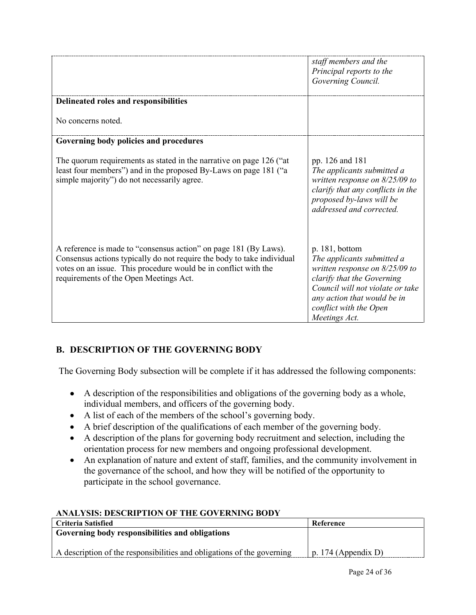|                                                                                                                                                                                                                                                         | staff members and the<br>Principal reports to the<br>Governing Council.                                                                                                                                                      |
|---------------------------------------------------------------------------------------------------------------------------------------------------------------------------------------------------------------------------------------------------------|------------------------------------------------------------------------------------------------------------------------------------------------------------------------------------------------------------------------------|
| Delineated roles and responsibilities                                                                                                                                                                                                                   |                                                                                                                                                                                                                              |
| No concerns noted.                                                                                                                                                                                                                                      |                                                                                                                                                                                                                              |
| Governing body policies and procedures                                                                                                                                                                                                                  |                                                                                                                                                                                                                              |
| The quorum requirements as stated in the narrative on page 126 ("at<br>least four members") and in the proposed By-Laws on page 181 ("a<br>simple majority") do not necessarily agree.                                                                  | pp. 126 and 181<br>The applicants submitted a<br>written response on $8/25/09$ to<br>clarify that any conflicts in the<br>proposed by-laws will be<br>addressed and corrected.                                               |
| A reference is made to "consensus action" on page 181 (By Laws).<br>Consensus actions typically do not require the body to take individual<br>votes on an issue. This procedure would be in conflict with the<br>requirements of the Open Meetings Act. | p. 181, bottom<br>The applicants submitted a<br>written response on $8/25/09$ to<br>clarify that the Governing<br>Council will not violate or take<br>any action that would be in<br>conflict with the Open<br>Meetings Act. |

# **B. DESCRIPTION OF THE GOVERNING BODY**

The Governing Body subsection will be complete if it has addressed the following components:

- A description of the responsibilities and obligations of the governing body as a whole, individual members, and officers of the governing body.
- A list of each of the members of the school's governing body.
- A brief description of the qualifications of each member of the governing body.
- A description of the plans for governing body recruitment and selection, including the orientation process for new members and ongoing professional development.
- An explanation of nature and extent of staff, families, and the community involvement in the governance of the school, and how they will be notified of the opportunity to participate in the school governance.

### **ANALYSIS: DESCRIPTION OF THE GOVERNING BODY**

| Criteria Satisfied                                                     | Reference           |
|------------------------------------------------------------------------|---------------------|
| Governing body responsibilities and obligations                        |                     |
|                                                                        |                     |
| A description of the responsibilities and obligations of the governing | p. 174 (Appendix D) |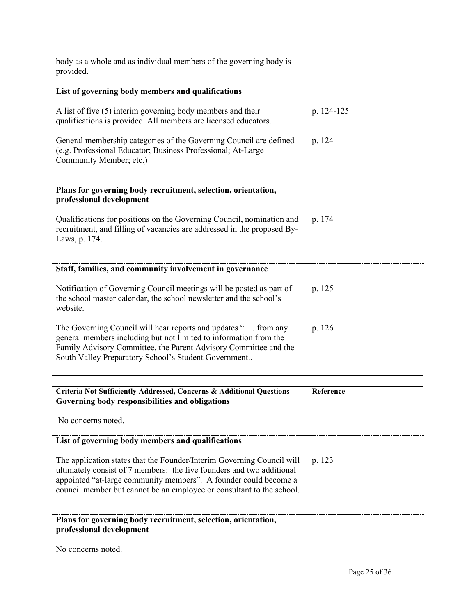| body as a whole and as individual members of the governing body is<br>provided.                                                                                                                                                                                  |            |
|------------------------------------------------------------------------------------------------------------------------------------------------------------------------------------------------------------------------------------------------------------------|------------|
| List of governing body members and qualifications                                                                                                                                                                                                                |            |
| A list of five (5) interim governing body members and their<br>qualifications is provided. All members are licensed educators.                                                                                                                                   | p. 124-125 |
| General membership categories of the Governing Council are defined<br>(e.g. Professional Educator; Business Professional; At-Large<br>Community Member; etc.)                                                                                                    | p. 124     |
| Plans for governing body recruitment, selection, orientation,<br>professional development                                                                                                                                                                        |            |
| Qualifications for positions on the Governing Council, nomination and<br>recruitment, and filling of vacancies are addressed in the proposed By-<br>Laws, p. 174.                                                                                                | p. 174     |
| Staff, families, and community involvement in governance                                                                                                                                                                                                         |            |
| Notification of Governing Council meetings will be posted as part of<br>the school master calendar, the school newsletter and the school's<br>website.                                                                                                           | p. 125     |
| The Governing Council will hear reports and updates ". from any<br>general members including but not limited to information from the<br>Family Advisory Committee, the Parent Advisory Committee and the<br>South Valley Preparatory School's Student Government | p. 126     |

| Criteria Not Sufficiently Addressed, Concerns & Additional Questions                                                                                                                                                                                                                         | Reference |
|----------------------------------------------------------------------------------------------------------------------------------------------------------------------------------------------------------------------------------------------------------------------------------------------|-----------|
| Governing body responsibilities and obligations                                                                                                                                                                                                                                              |           |
| No concerns noted.                                                                                                                                                                                                                                                                           |           |
| List of governing body members and qualifications                                                                                                                                                                                                                                            |           |
| The application states that the Founder/Interim Governing Council will<br>ultimately consist of 7 members: the five founders and two additional<br>appointed "at-large community members". A founder could become a<br>council member but cannot be an employee or consultant to the school. | p. 123    |
| Plans for governing body recruitment, selection, orientation,<br>professional development                                                                                                                                                                                                    |           |
| No concerns noted.                                                                                                                                                                                                                                                                           |           |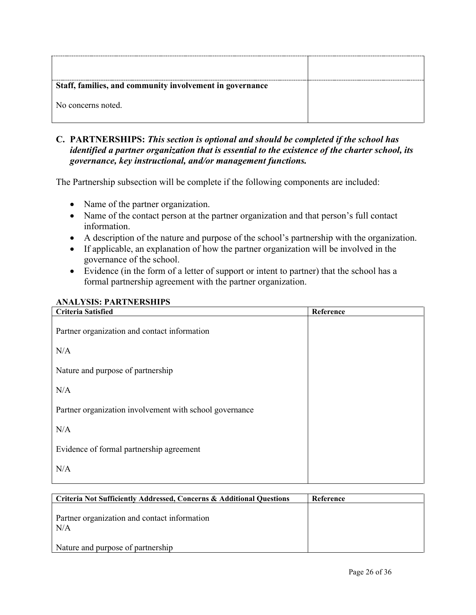| Staff, families, and community involvement in governance |  |
|----------------------------------------------------------|--|
| No concerns noted.                                       |  |

### **C. PARTNERSHIPS:** *This section is optional and should be completed if the school has identified a partner organization that is essential to the existence of the charter school, its governance, key instructional, and/or management functions.*

The Partnership subsection will be complete if the following components are included:

- Name of the partner organization.
- Name of the contact person at the partner organization and that person's full contact information.
- A description of the nature and purpose of the school's partnership with the organization.
- If applicable, an explanation of how the partner organization will be involved in the governance of the school.
- Evidence (in the form of a letter of support or intent to partner) that the school has a formal partnership agreement with the partner organization.

#### **ANALYSIS: PARTNERSHIPS**

| <b>Criteria Satisfied</b>                               | Reference |
|---------------------------------------------------------|-----------|
| Partner organization and contact information            |           |
| N/A                                                     |           |
| Nature and purpose of partnership                       |           |
| N/A                                                     |           |
| Partner organization involvement with school governance |           |
| N/A                                                     |           |
| Evidence of formal partnership agreement                |           |
| N/A                                                     |           |
|                                                         |           |

| Criteria Not Sufficiently Addressed, Concerns & Additional Ouestions | Reference |
|----------------------------------------------------------------------|-----------|
| Partner organization and contact information<br>N/A                  |           |
| Nature and purpose of partnership                                    |           |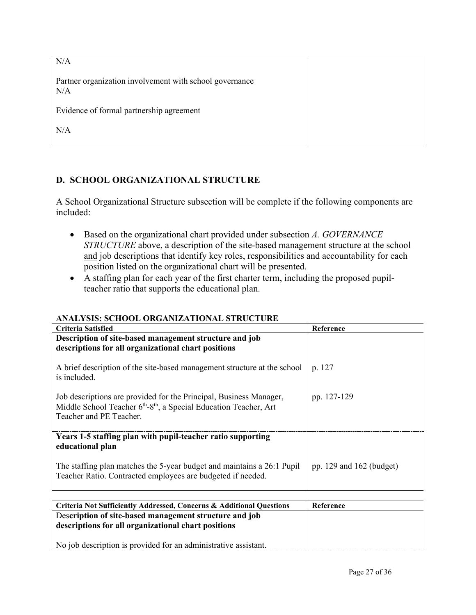| N/A                                                            |  |
|----------------------------------------------------------------|--|
| Partner organization involvement with school governance<br>N/A |  |
| Evidence of formal partnership agreement                       |  |
| N/A                                                            |  |

## **D. SCHOOL ORGANIZATIONAL STRUCTURE**

A School Organizational Structure subsection will be complete if the following components are included:

- Based on the organizational chart provided under subsection *A. GOVERNANCE STRUCTURE* above, a description of the site-based management structure at the school and job descriptions that identify key roles, responsibilities and accountability for each position listed on the organizational chart will be presented.
- A staffing plan for each year of the first charter term, including the proposed pupilteacher ratio that supports the educational plan.

## **ANALYSIS: SCHOOL ORGANIZATIONAL STRUCTURE**

| <b>Criteria Satisfied</b>                                                                                                                                        | Reference                    |
|------------------------------------------------------------------------------------------------------------------------------------------------------------------|------------------------------|
| Description of site-based management structure and job<br>descriptions for all organizational chart positions                                                    |                              |
| A brief description of the site-based management structure at the school<br>is included.                                                                         | p. 127                       |
| Job descriptions are provided for the Principal, Business Manager,<br>Middle School Teacher 6th-8th, a Special Education Teacher, Art<br>Teacher and PE Teacher. | pp. 127-129                  |
| Years 1-5 staffing plan with pupil-teacher ratio supporting<br>educational plan                                                                                  |                              |
| The staffing plan matches the 5-year budget and maintains a 26:1 Pupil<br>Teacher Ratio. Contracted employees are budgeted if needed.                            | pp. $129$ and $162$ (budget) |

| <b>Criteria Not Sufficiently Addressed, Concerns &amp; Additional Questions</b> | Reference |
|---------------------------------------------------------------------------------|-----------|
| Description of site-based management structure and job                          |           |
| descriptions for all organizational chart positions                             |           |
|                                                                                 |           |
| No job description is provided for an administrative assistant.                 |           |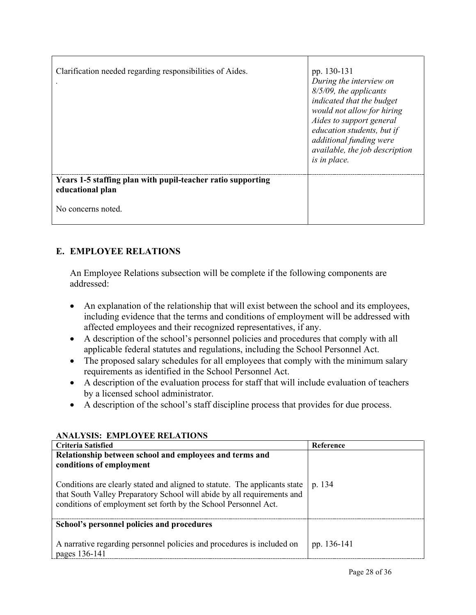| Clarification needed regarding responsibilities of Aides.                       | pp. 130-131<br>During the interview on<br>8/5/09, the applicants<br>indicated that the budget<br>would not allow for hiring<br>Aides to support general<br>education students, but if<br>additional funding were<br>available, the job description<br>is in place. |
|---------------------------------------------------------------------------------|--------------------------------------------------------------------------------------------------------------------------------------------------------------------------------------------------------------------------------------------------------------------|
| Years 1-5 staffing plan with pupil-teacher ratio supporting<br>educational plan |                                                                                                                                                                                                                                                                    |
| No concerns noted.                                                              |                                                                                                                                                                                                                                                                    |

# **E. EMPLOYEE RELATIONS**

An Employee Relations subsection will be complete if the following components are addressed:

- An explanation of the relationship that will exist between the school and its employees, including evidence that the terms and conditions of employment will be addressed with affected employees and their recognized representatives, if any.
- A description of the school's personnel policies and procedures that comply with all applicable federal statutes and regulations, including the School Personnel Act.
- The proposed salary schedules for all employees that comply with the minimum salary requirements as identified in the School Personnel Act.
- A description of the evaluation process for staff that will include evaluation of teachers by a licensed school administrator.
- A description of the school's staff discipline process that provides for due process.

| ANALISIS. EMILUTEE NELATIONS                                                                                                                                                                                             |                  |
|--------------------------------------------------------------------------------------------------------------------------------------------------------------------------------------------------------------------------|------------------|
| Criteria Satisfied                                                                                                                                                                                                       | <b>Reference</b> |
| Relationship between school and employees and terms and<br>conditions of employment                                                                                                                                      |                  |
| Conditions are clearly stated and aligned to statute. The applicants state<br>that South Valley Preparatory School will abide by all requirements and<br>conditions of employment set forth by the School Personnel Act. | p. 134           |
| School's personnel policies and procedures                                                                                                                                                                               |                  |
| A narrative regarding personnel policies and procedures is included on<br>pages 136-141                                                                                                                                  | pp. 136-141      |

## **ANALYSIS: EMPLOYEE RELATIONS**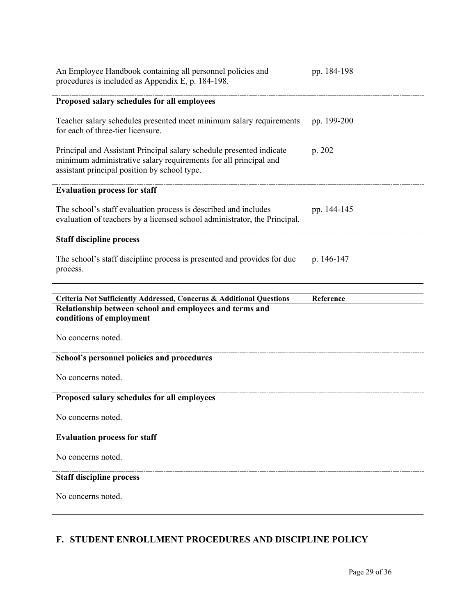| An Employee Handbook containing all personnel policies and<br>procedures is included as Appendix E, p. 184-198.                                                                          | pp. 184-198 |
|------------------------------------------------------------------------------------------------------------------------------------------------------------------------------------------|-------------|
| Proposed salary schedules for all employees                                                                                                                                              |             |
| Teacher salary schedules presented meet minimum salary requirements<br>for each of three-tier licensure.                                                                                 | pp. 199-200 |
| Principal and Assistant Principal salary schedule presented indicate<br>minimum administrative salary requirements for all principal and<br>assistant principal position by school type. | p. 202      |
| <b>Evaluation process for staff</b>                                                                                                                                                      |             |
| The school's staff evaluation process is described and includes<br>evaluation of teachers by a licensed school administrator, the Principal.                                             | pp. 144-145 |
| <b>Staff discipline process</b>                                                                                                                                                          |             |
| The school's staff discipline process is presented and provides for due<br>process.                                                                                                      | p. 146-147  |

| Criteria Not Sufficiently Addressed, Concerns & Additional Questions                | Reference |
|-------------------------------------------------------------------------------------|-----------|
| Relationship between school and employees and terms and<br>conditions of employment |           |
| No concerns noted.                                                                  |           |
| School's personnel policies and procedures                                          |           |
| No concerns noted.                                                                  |           |
| Proposed salary schedules for all employees                                         |           |
| No concerns noted.                                                                  |           |
| <b>Evaluation process for staff</b>                                                 |           |
| No concerns noted.                                                                  |           |
| <b>Staff discipline process</b>                                                     |           |
| No concerns noted.                                                                  |           |

# **F. STUDENT ENROLLMENT PROCEDURES AND DISCIPLINE POLICY**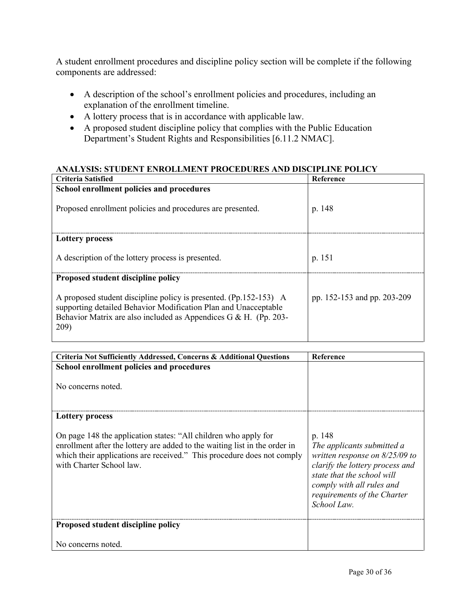A student enrollment procedures and discipline policy section will be complete if the following components are addressed:

- A description of the school's enrollment policies and procedures, including an explanation of the enrollment timeline.
- A lottery process that is in accordance with applicable law.
- A proposed student discipline policy that complies with the Public Education Department's Student Rights and Responsibilities [6.11.2 NMAC].

### **ANALYSIS: STUDENT ENROLLMENT PROCEDURES AND DISCIPLINE POLICY**

| Criteria Satisfied                                                                                                                                                                                               | Reference                   |
|------------------------------------------------------------------------------------------------------------------------------------------------------------------------------------------------------------------|-----------------------------|
| School enrollment policies and procedures                                                                                                                                                                        |                             |
| Proposed enrollment policies and procedures are presented.                                                                                                                                                       | p. 148                      |
| <b>Lottery process</b>                                                                                                                                                                                           |                             |
| A description of the lottery process is presented.                                                                                                                                                               | p. 151                      |
| Proposed student discipline policy                                                                                                                                                                               |                             |
| A proposed student discipline policy is presented. (Pp.152-153) A<br>supporting detailed Behavior Modification Plan and Unacceptable<br>Behavior Matrix are also included as Appendices G & H. (Pp. 203-<br>209) | pp. 152-153 and pp. 203-209 |

| Criteria Not Sufficiently Addressed, Concerns & Additional Questions                                                                                                                                                                                | <b>Reference</b>                                                                                                                                                                                                     |
|-----------------------------------------------------------------------------------------------------------------------------------------------------------------------------------------------------------------------------------------------------|----------------------------------------------------------------------------------------------------------------------------------------------------------------------------------------------------------------------|
| School enrollment policies and procedures                                                                                                                                                                                                           |                                                                                                                                                                                                                      |
| No concerns noted.                                                                                                                                                                                                                                  |                                                                                                                                                                                                                      |
| <b>Lottery process</b>                                                                                                                                                                                                                              |                                                                                                                                                                                                                      |
| On page 148 the application states: "All children who apply for<br>enrollment after the lottery are added to the waiting list in the order in<br>which their applications are received." This procedure does not comply<br>with Charter School law. | p. 148<br>The applicants submitted a<br>written response on $8/25/09$ to<br>clarify the lottery process and<br>state that the school will<br>comply with all rules and<br>requirements of the Charter<br>School Law. |
| Proposed student discipline policy                                                                                                                                                                                                                  |                                                                                                                                                                                                                      |
| No concerns noted.                                                                                                                                                                                                                                  |                                                                                                                                                                                                                      |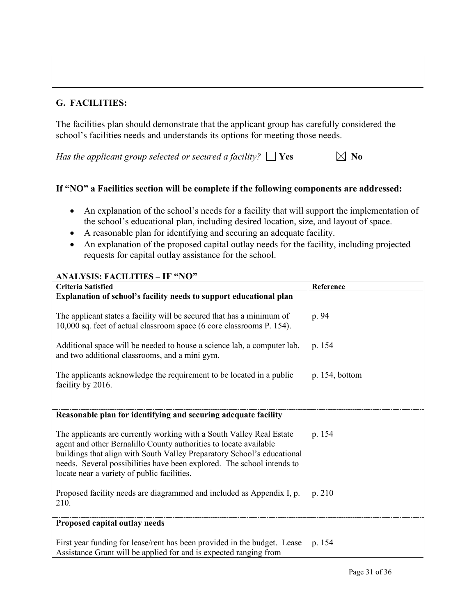| _________ | ----------------------------------<br>--- |
|-----------|-------------------------------------------|
|           |                                           |
|           |                                           |
|           |                                           |
|           |                                           |

## **G. FACILITIES:**

The facilities plan should demonstrate that the applicant group has carefully considered the school's facilities needs and understands its options for meeting those needs.

*Has the applicant group selected or secured a facility?*  $\Box$  Yes  $\Box$  No

### **If "NO" a Facilities section will be complete if the following components are addressed:**

- An explanation of the school's needs for a facility that will support the implementation of the school's educational plan, including desired location, size, and layout of space.
- A reasonable plan for identifying and securing an adequate facility.
- An explanation of the proposed capital outlay needs for the facility, including projected requests for capital outlay assistance for the school.

#### **ANALYSIS: FACILITIES – IF "NO"**

| <b>Criteria Satisfied</b>                                                                                                                                                                                                                                                                                                                     | Reference      |
|-----------------------------------------------------------------------------------------------------------------------------------------------------------------------------------------------------------------------------------------------------------------------------------------------------------------------------------------------|----------------|
| Explanation of school's facility needs to support educational plan                                                                                                                                                                                                                                                                            |                |
| The applicant states a facility will be secured that has a minimum of<br>10,000 sq. feet of actual classroom space (6 core classrooms P. 154).                                                                                                                                                                                                | p. 94          |
| Additional space will be needed to house a science lab, a computer lab,<br>and two additional classrooms, and a mini gym.                                                                                                                                                                                                                     | p. 154         |
| The applicants acknowledge the requirement to be located in a public<br>facility by 2016.                                                                                                                                                                                                                                                     | p. 154, bottom |
|                                                                                                                                                                                                                                                                                                                                               |                |
| Reasonable plan for identifying and securing adequate facility                                                                                                                                                                                                                                                                                |                |
| The applicants are currently working with a South Valley Real Estate<br>agent and other Bernalillo County authorities to locate available<br>buildings that align with South Valley Preparatory School's educational<br>needs. Several possibilities have been explored. The school intends to<br>locate near a variety of public facilities. | p. 154         |
| Proposed facility needs are diagrammed and included as Appendix I, p.<br>210.                                                                                                                                                                                                                                                                 | p. 210         |
| Proposed capital outlay needs                                                                                                                                                                                                                                                                                                                 |                |
| First year funding for lease/rent has been provided in the budget. Lease<br>Assistance Grant will be applied for and is expected ranging from                                                                                                                                                                                                 | p. 154         |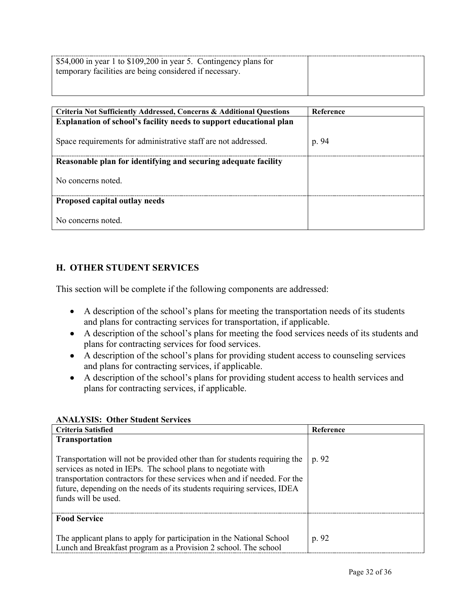| \$54,000 in year 1 to \$109,200 in year 5. Contingency plans for<br>temporary facilities are being considered if necessary. |  |
|-----------------------------------------------------------------------------------------------------------------------------|--|
|                                                                                                                             |  |

| Criteria Not Sufficiently Addressed, Concerns & Additional Questions      | Reference |
|---------------------------------------------------------------------------|-----------|
| <b>Explanation of school's facility needs to support educational plan</b> |           |
| Space requirements for administrative staff are not addressed.            | p. 94     |
| Reasonable plan for identifying and securing adequate facility            |           |
| No concerns noted.                                                        |           |
| Proposed capital outlay needs                                             |           |
| No concerns noted.                                                        |           |

### **H. OTHER STUDENT SERVICES**

This section will be complete if the following components are addressed:

- A description of the school's plans for meeting the transportation needs of its students and plans for contracting services for transportation, if applicable.
- A description of the school's plans for meeting the food services needs of its students and plans for contracting services for food services.
- A description of the school's plans for providing student access to counseling services and plans for contracting services, if applicable.
- A description of the school's plans for providing student access to health services and plans for contracting services, if applicable.

| Criteria Satisfied                                                                                                                                                                                                                                                                                                        | Reference |
|---------------------------------------------------------------------------------------------------------------------------------------------------------------------------------------------------------------------------------------------------------------------------------------------------------------------------|-----------|
| Transportation                                                                                                                                                                                                                                                                                                            |           |
| Transportation will not be provided other than for students requiring the<br>services as noted in IEPs. The school plans to negotiate with<br>transportation contractors for these services when and if needed. For the<br>future, depending on the needs of its students requiring services, IDEA<br>funds will be used. | p. 92     |
| <b>Food Service</b>                                                                                                                                                                                                                                                                                                       |           |
| The applicant plans to apply for participation in the National School<br>Lunch and Breakfast program as a Provision 2 school. The school                                                                                                                                                                                  | p. 92     |

### **ANALYSIS: Other Student Services**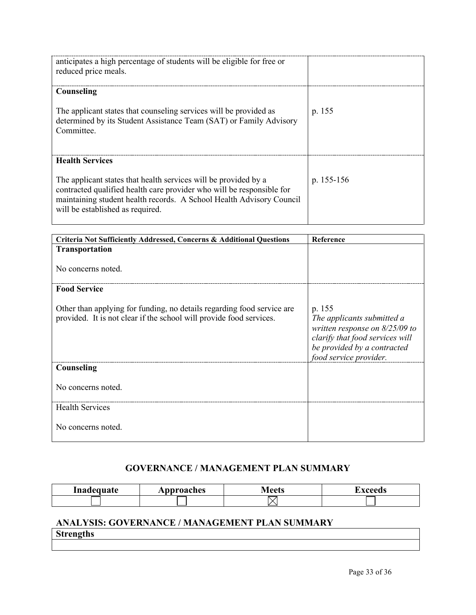| anticipates a high percentage of students will be eligible for free or<br>reduced price meals.                                                                                                                                                       |              |
|------------------------------------------------------------------------------------------------------------------------------------------------------------------------------------------------------------------------------------------------------|--------------|
| Counseling                                                                                                                                                                                                                                           |              |
| The applicant states that counseling services will be provided as<br>determined by its Student Assistance Team (SAT) or Family Advisory<br>Committee.                                                                                                | p. 155       |
| <b>Health Services</b>                                                                                                                                                                                                                               |              |
| The applicant states that health services will be provided by a<br>contracted qualified health care provider who will be responsible for<br>maintaining student health records. A School Health Advisory Council<br>will be established as required. | p. $155-156$ |

| Criteria Not Sufficiently Addressed, Concerns & Additional Questions                                                                          | Reference                                                                                                                                                            |
|-----------------------------------------------------------------------------------------------------------------------------------------------|----------------------------------------------------------------------------------------------------------------------------------------------------------------------|
| Transportation                                                                                                                                |                                                                                                                                                                      |
| No concerns noted.                                                                                                                            |                                                                                                                                                                      |
| <b>Food Service</b>                                                                                                                           |                                                                                                                                                                      |
| Other than applying for funding, no details regarding food service are<br>provided. It is not clear if the school will provide food services. | p. 155<br>The applicants submitted a<br>written response on $8/25/09$ to<br>clarify that food services will<br>be provided by a contracted<br>food service provider. |
| Counseling                                                                                                                                    |                                                                                                                                                                      |
| No concerns noted.                                                                                                                            |                                                                                                                                                                      |
| <b>Health Services</b>                                                                                                                        |                                                                                                                                                                      |
| No concerns noted.                                                                                                                            |                                                                                                                                                                      |

# **GOVERNANCE / MANAGEMENT PLAN SUMMARY**

| -inadequate | Approaches | $M$ ootc | xceeds |
|-------------|------------|----------|--------|
|             |            |          |        |

# **ANALYSIS: GOVERNANCE / MANAGEMENT PLAN SUMMARY Strengths**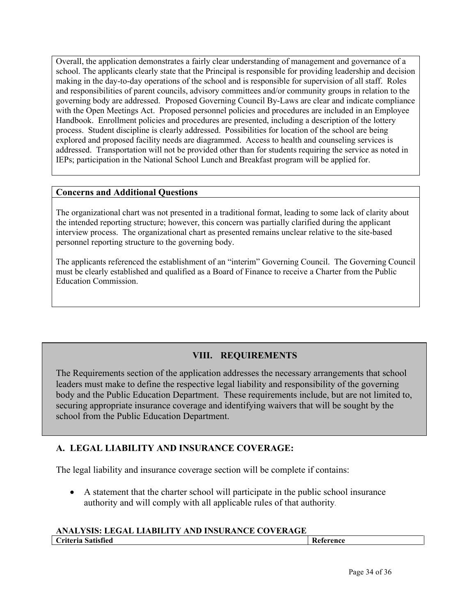Overall, the application demonstrates a fairly clear understanding of management and governance of a school. The applicants clearly state that the Principal is responsible for providing leadership and decision making in the day-to-day operations of the school and is responsible for supervision of all staff. Roles and responsibilities of parent councils, advisory committees and/or community groups in relation to the governing body are addressed. Proposed Governing Council By-Laws are clear and indicate compliance with the Open Meetings Act. Proposed personnel policies and procedures are included in an Employee Handbook. Enrollment policies and procedures are presented, including a description of the lottery process. Student discipline is clearly addressed. Possibilities for location of the school are being explored and proposed facility needs are diagrammed. Access to health and counseling services is addressed. Transportation will not be provided other than for students requiring the service as noted in IEPs; participation in the National School Lunch and Breakfast program will be applied for.

#### **Concerns and Additional Questions**

The organizational chart was not presented in a traditional format, leading to some lack of clarity about the intended reporting structure; however, this concern was partially clarified during the applicant interview process. The organizational chart as presented remains unclear relative to the site-based personnel reporting structure to the governing body.

The applicants referenced the establishment of an "interim" Governing Council. The Governing Council must be clearly established and qualified as a Board of Finance to receive a Charter from the Public Education Commission.

# **VIII. REQUIREMENTS**

The Requirements section of the application addresses the necessary arrangements that school leaders must make to define the respective legal liability and responsibility of the governing body and the Public Education Department. These requirements include, but are not limited to, securing appropriate insurance coverage and identifying waivers that will be sought by the school from the Public Education Department.

## **A. LEGAL LIABILITY AND INSURANCE COVERAGE:**

The legal liability and insurance coverage section will be complete if contains:

• A statement that the charter school will participate in the public school insurance authority and will comply with all applicable rules of that authority.

### **ANALYSIS: LEGAL LIABILITY AND INSURANCE COVERAGE**

| <b>Criteria Satisfied</b> | r<br>Reference |  |
|---------------------------|----------------|--|
|                           |                |  |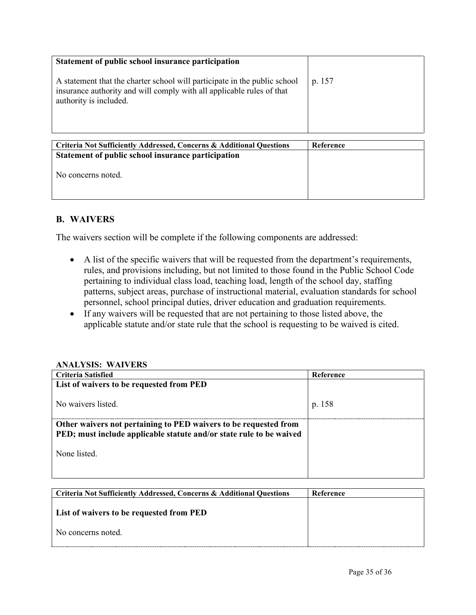| Statement of public school insurance participation<br>A statement that the charter school will participate in the public school<br>insurance authority and will comply with all applicable rules of that<br>authority is included. | p. 157           |
|------------------------------------------------------------------------------------------------------------------------------------------------------------------------------------------------------------------------------------|------------------|
| <b>Criteria Not Sufficiently Addressed, Concerns &amp; Additional Questions</b><br>Statement of public school insurance participation                                                                                              | <b>Reference</b> |
| No concerns noted.                                                                                                                                                                                                                 |                  |

## **B. WAIVERS**

The waivers section will be complete if the following components are addressed:

- A list of the specific waivers that will be requested from the department's requirements, rules, and provisions including, but not limited to those found in the Public School Code pertaining to individual class load, teaching load, length of the school day, staffing patterns, subject areas, purchase of instructional material, evaluation standards for school personnel, school principal duties, driver education and graduation requirements.
- If any waivers will be requested that are not pertaining to those listed above, the applicable statute and/or state rule that the school is requesting to be waived is cited.

#### **ANALYSIS: WAIVERS**

| Criteria Satisfied                                                                                                                      | Reference |
|-----------------------------------------------------------------------------------------------------------------------------------------|-----------|
| List of waivers to be requested from PED                                                                                                |           |
|                                                                                                                                         |           |
| No waivers listed.                                                                                                                      | p. 158    |
|                                                                                                                                         |           |
| Other waivers not pertaining to PED waivers to be requested from<br>PED; must include applicable statute and/or state rule to be waived |           |
|                                                                                                                                         |           |
| None listed.                                                                                                                            |           |
|                                                                                                                                         |           |
|                                                                                                                                         |           |

| Criteria Not Sufficiently Addressed, Concerns & Additional Ouestions | Reference |
|----------------------------------------------------------------------|-----------|
| <b>List of waivers to be requested from PED</b>                      |           |
| No concerns noted.                                                   |           |